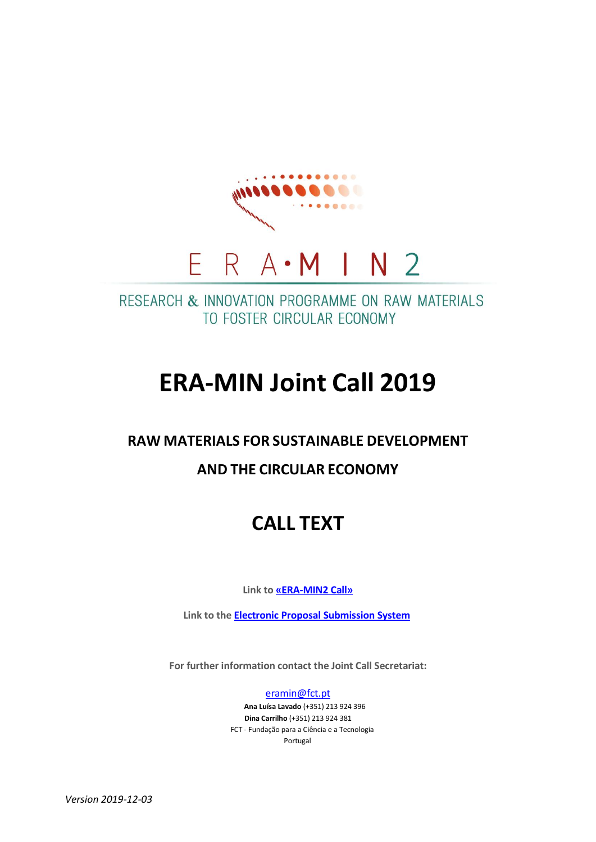

RESEARCH & INNOVATION PROGRAMME ON RAW MATERIALS TO FOSTER CIRCULAR ECONOMY

# **ERA-MIN Joint Call 2019**

## **RAW MATERIALS FOR SUSTAINABLE DEVELOPMENT**

## **AND THE CIRCULAR ECONOMY**

## **CALL TEXT**

**Link to [«ERA-MIN2](https://www.era-min.eu/joint-call/era-min-joint-call-2019) Call»**

**Link to the Electronic Proposal [Submission](https://www.submission-era-min.eu/call3/) System**

**For further information contact the Joint Call Secretariat:**

[eramin@fct.pt](mailto:eramin@fct.pt)

**Ana Luísa Lavado** (+351) 213 924 396 **Dina Carrilho** (+351) 213 924 381 FCT - Fundação para a Ciência e a Tecnologia Portugal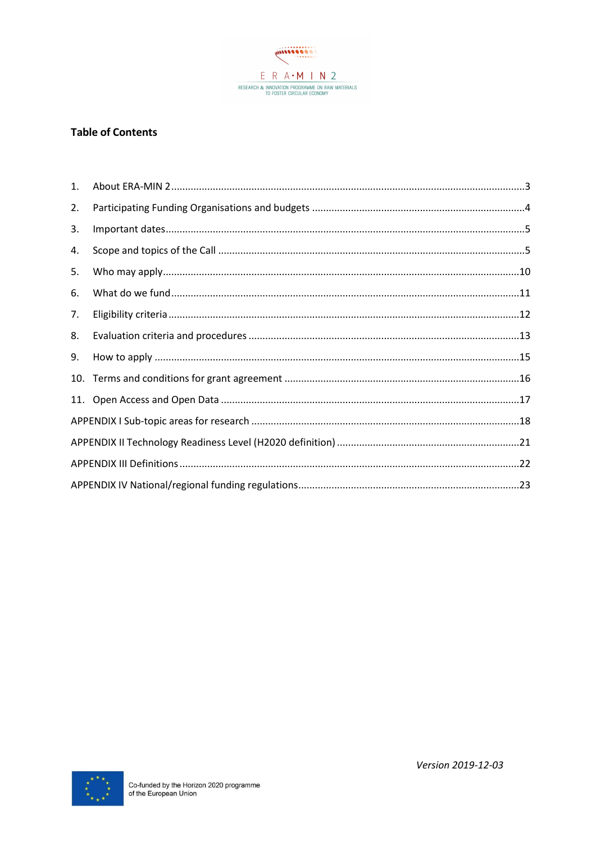

#### **Table of Contents**

| 1. |  |
|----|--|
| 2. |  |
| 3. |  |
| 4. |  |
| 5. |  |
| 6. |  |
| 7. |  |
| 8. |  |
| 9. |  |
|    |  |
|    |  |
|    |  |
|    |  |
|    |  |
|    |  |

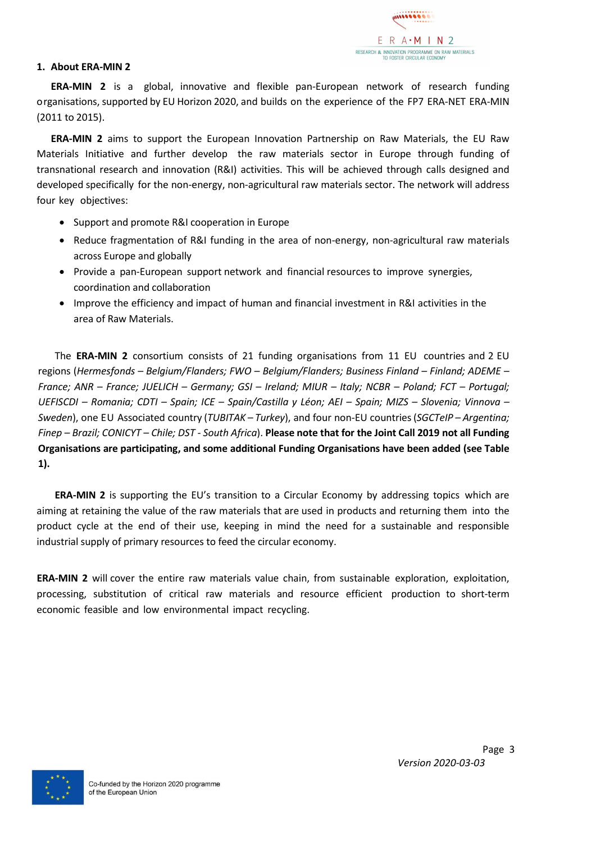

#### <span id="page-2-0"></span>**1. About ERA-MIN 2**

**ERA-MIN 2** is a global, innovative and flexible pan-European network of research funding organisations, supported by EU Horizon 2020, and builds on the experience of the FP7 ERA-NET ERA-MIN (2011 to 2015).

**ERA-MIN 2** aims to support the European Innovation Partnership on Raw Materials, the EU Raw Materials Initiative and further develop the raw materials sector in Europe through funding of transnational research and innovation (R&I) activities. This will be achieved through calls designed and developed specifically for the non-energy, non-agricultural raw materials sector. The network will address four key objectives:

- Support and promote R&I cooperation in Europe
- Reduce fragmentation of R&I funding in the area of non-energy, non-agricultural raw materials across Europe and globally
- Provide a pan-European support network and financial resources to improve synergies, coordination and collaboration
- Improve the efficiency and impact of human and financial investment in R&I activities in the area of Raw Materials.

The **ERA-MIN 2** consortium consists of 21 funding organisations from 11 EU countries and 2 EU regions (*Hermesfonds – Belgium/Flanders; FWO – Belgium/Flanders; Business Finland – Finland; ADEME – France; ANR – France; JUELICH – Germany; GSI – Ireland; MIUR – Italy; NCBR – Poland; FCT – Portugal; UEFISCDI – Romania; CDTI – Spain; ICE – Spain/Castilla y Léon; AEI – Spain; MIZS – Slovenia; Vinnova – Sweden*), one EU Associated country (*TUBITAK – Turkey*), and four non-EU countries(*SGCTeIP – Argentina; Finep – Brazil; CONICYT – Chile; DST - South Africa*). **Please note that for the Joint Call 2019 not all Funding Organisations are participating, and some additional Funding Organisations have been added (see Table 1).**

**ERA-MIN 2** is supporting the EU's transition to a Circular Economy by addressing topics which are aiming at retaining the value of the raw materials that are used in products and returning them into the product cycle at the end of their use, keeping in mind the need for a sustainable and responsible industrial supply of primary resources to feed the circular economy.

**ERA-MIN 2** will cover the entire raw materials value chain, from sustainable exploration, exploitation, processing, substitution of critical raw materials and resource efficient production to short-term economic feasible and low environmental impact recycling.

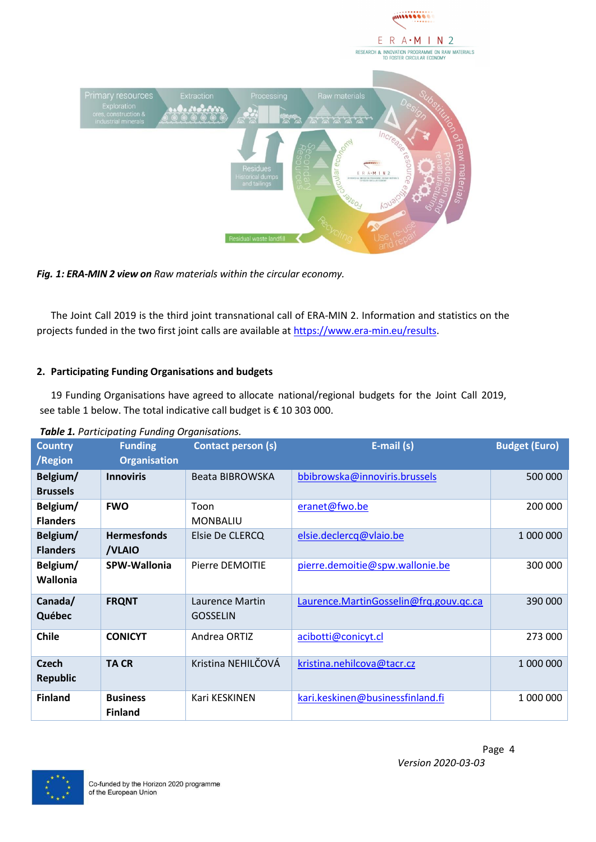



The Joint Call 2019 is the third joint transnational call of ERA-MIN 2. Information and statistics on the projects funded in the two first joint calls are available at [https://www.era-min.eu/results.](https://www.era-min.eu/results)

#### <span id="page-3-0"></span>**2. Participating Funding Organisations and budgets**

19 Funding Organisations have agreed to allocate national/regional budgets for the Joint Call 2019, see table 1 below. The total indicative call budget is € 10 303 000.

| <b>Country</b>  | <b>Funding</b>      | <b>Contact person (s)</b> | E-mail (s)                             | <b>Budget (Euro)</b> |
|-----------------|---------------------|---------------------------|----------------------------------------|----------------------|
| /Region         | <b>Organisation</b> |                           |                                        |                      |
| Belgium/        | <b>Innoviris</b>    | Beata BIBROWSKA           | bbibrowska@innoviris.brussels          | 500 000              |
| <b>Brussels</b> |                     |                           |                                        |                      |
| Belgium/        | <b>FWO</b>          | Toon                      | eranet@fwo.be                          | 200 000              |
| <b>Flanders</b> |                     | <b>MONBALIU</b>           |                                        |                      |
| Belgium/        | <b>Hermesfonds</b>  | Elsie De CLERCQ           | elsie.declercq@vlaio.be                | 1 000 000            |
| <b>Flanders</b> | /VLAIO              |                           |                                        |                      |
| Belgium/        | <b>SPW-Wallonia</b> | Pierre DEMOITIE           | pierre.demoitie@spw.wallonie.be        | 300 000              |
| Wallonia        |                     |                           |                                        |                      |
| Canada/         | <b>FRQNT</b>        | Laurence Martin           | Laurence.MartinGosselin@frq.gouv.qc.ca | 390 000              |
| Québec          |                     | <b>GOSSELIN</b>           |                                        |                      |
| <b>Chile</b>    | <b>CONICYT</b>      | Andrea ORTIZ              | acibotti@conicyt.cl                    | 273 000              |
| <b>Czech</b>    | <b>TACR</b>         | Kristina NEHILČOVÁ        | kristina.nehilcova@tacr.cz             | 1 000 000            |
| <b>Republic</b> |                     |                           |                                        |                      |
| <b>Finland</b>  | <b>Business</b>     | Kari KESKINEN             | kari.keskinen@businessfinland.fi       | 1 000 000            |
|                 | <b>Finland</b>      |                           |                                        |                      |

*Table 1. Participating Funding Organisations.*

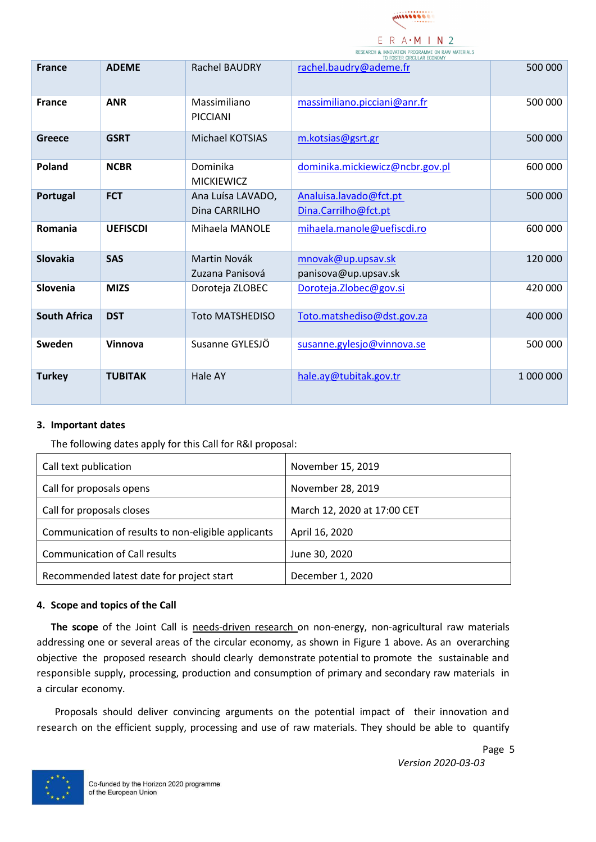

|                     |                 |                                    | RESEARCH & INNUVATION PROGRAMME ON RAW MATERIALS<br>TO FOSTER CIRCULAR ECONOMY |           |
|---------------------|-----------------|------------------------------------|--------------------------------------------------------------------------------|-----------|
| <b>France</b>       | <b>ADEME</b>    | <b>Rachel BAUDRY</b>               | rachel.baudry@ademe.fr                                                         | 500 000   |
| <b>France</b>       | <b>ANR</b>      | Massimiliano<br><b>PICCIANI</b>    | massimiliano.picciani@anr.fr                                                   | 500 000   |
| Greece              | <b>GSRT</b>     | Michael KOTSIAS                    | m.kotsias@gsrt.gr                                                              | 500 000   |
| Poland              | <b>NCBR</b>     | Dominika<br><b>MICKIEWICZ</b>      | dominika.mickiewicz@ncbr.gov.pl                                                | 600 000   |
| Portugal            | <b>FCT</b>      | Ana Luísa LAVADO,<br>Dina CARRILHO | Analuisa.lavado@fct.pt<br>Dina.Carrilho@fct.pt                                 | 500 000   |
| Romania             | <b>UEFISCDI</b> | Mihaela MANOLE                     | mihaela.manole@uefiscdi.ro                                                     | 600 000   |
| Slovakia            | <b>SAS</b>      | Martin Novák<br>Zuzana Panisová    | mnovak@up.upsav.sk<br>panisova@up.upsav.sk                                     | 120 000   |
| Slovenia            | <b>MIZS</b>     | Doroteja ZLOBEC                    | Doroteja. Zlobec@gov.si                                                        | 420 000   |
| <b>South Africa</b> | <b>DST</b>      | <b>Toto MATSHEDISO</b>             | Toto.matshediso@dst.gov.za                                                     | 400 000   |
| Sweden              | Vinnova         | Susanne GYLESJÖ                    | susanne.gylesjo@vinnova.se                                                     | 500 000   |
| <b>Turkey</b>       | <b>TUBITAK</b>  | Hale AY                            | hale.ay@tubitak.gov.tr                                                         | 1 000 000 |

#### <span id="page-4-0"></span>**3. Important dates**

The following dates apply for this Call for R&I proposal:

| Call text publication                               | November 15, 2019           |
|-----------------------------------------------------|-----------------------------|
| Call for proposals opens                            | November 28, 2019           |
| Call for proposals closes                           | March 12, 2020 at 17:00 CET |
| Communication of results to non-eligible applicants | April 16, 2020              |
| <b>Communication of Call results</b>                | June 30, 2020               |
| Recommended latest date for project start           | December 1, 2020            |

#### <span id="page-4-1"></span>**4. Scope and topics of the Call**

**The scope** of the Joint Call is needs-driven research on non-energy, non-agricultural raw materials addressing one or several areas of the circular economy, as shown in Figure 1 above. As an overarching objective the proposed research should clearly demonstrate potential to promote the sustainable and responsible supply, processing, production and consumption of primary and secondary raw materials in a circular economy.

Proposals should deliver convincing arguments on the potential impact of their innovation and research on the efficient supply, processing and use of raw materials. They should be able to quantify

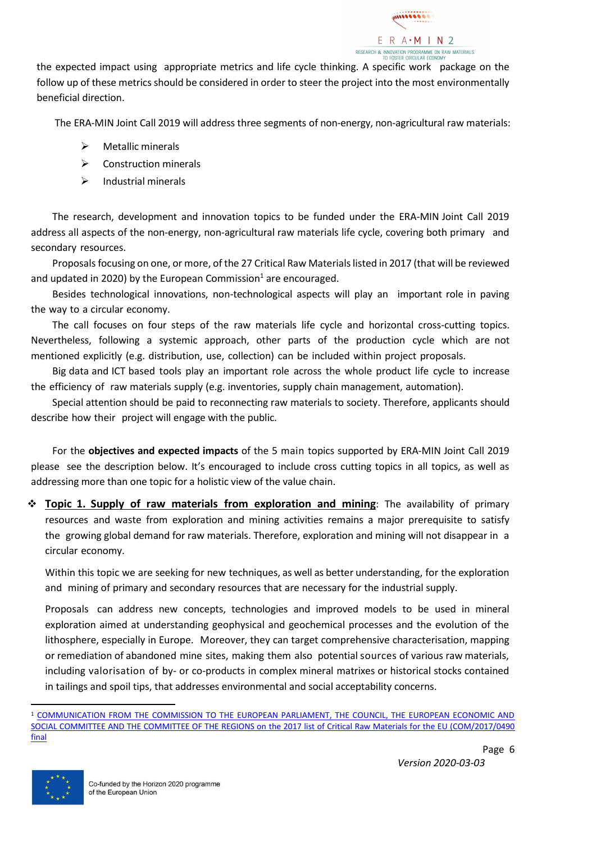

the expected impact using appropriate metrics and life cycle thinking. A specific work package on the follow up of these metrics should be considered in order to steer the project into the most environmentally beneficial direction.

The ERA-MIN Joint Call 2019 will address three segments of non-energy, non-agricultural raw materials:

- $\triangleright$  Metallic minerals
- ➢ Construction minerals
- $\triangleright$  Industrial minerals

The research, development and innovation topics to be funded under the ERA-MIN Joint Call 2019 address all aspects of the non-energy, non-agricultural raw materials life cycle, covering both primary and secondary resources.

Proposals focusing on one, or more, of the 27 Critical Raw Materials listed in 2017 (that will be reviewed and updated in 2020) by the European Commission<sup>1</sup> are encouraged.

Besides technological innovations, non-technological aspects will play an important role in paving the way to a circular economy.

The call focuses on four steps of the raw materials life cycle and horizontal cross-cutting topics. Nevertheless, following a systemic approach, other parts of the production cycle which are not mentioned explicitly (e.g. distribution, use, collection) can be included within project proposals.

Big data and ICT based tools play an important role across the whole product life cycle to increase the efficiency of raw materials supply (e.g. inventories, supply chain management, automation).

Special attention should be paid to reconnecting raw materials to society. Therefore, applicants should describe how their project will engage with the public.

For the **objectives and expected impacts** of the 5 main topics supported by ERA-MIN Joint Call 2019 please see the description below. It's encouraged to include cross cutting topics in all topics, as well as addressing more than one topic for a holistic view of the value chain.

❖ **Topic 1. Supply of raw materials from exploration and mining**: The availability of primary resources and waste from exploration and mining activities remains a major prerequisite to satisfy the growing global demand for raw materials. Therefore, exploration and mining will not disappear in a circular economy.

Within this topic we are seeking for new techniques, as well as better understanding, for the exploration and mining of primary and secondary resources that are necessary for the industrial supply.

Proposals can address new concepts, technologies and improved models to be used in mineral exploration aimed at understanding geophysical and geochemical processes and the evolution of the lithosphere, especially in Europe. Moreover, they can target comprehensive characterisation, mapping or remediation of abandoned mine sites, making them also potential sources of various raw materials, including valorisation of by- or co-products in complex mineral matrixes or historical stocks contained in tailings and spoil tips, that addresses environmental and social acceptability concerns.

<sup>1</sup> [COMMUNICATION FROM THE COMMISSION TO THE EUROPEAN PARLIAMENT, THE COUNCIL, THE EUROPEAN ECONOMIC AND](http://ec.europa.eu/transparency/regdoc/rep/1/2017/EN/COM-2017-490-F1-EN-MAIN-PART-1.PDF)  SOCIAL COMMITTEE AND THE COMMITTEE OF THE REGIONS on [the 2017 list of Critical Raw Materials for the EU \(COM/2017/0490](http://ec.europa.eu/transparency/regdoc/rep/1/2017/EN/COM-2017-490-F1-EN-MAIN-PART-1.PDF)  [final](http://ec.europa.eu/transparency/regdoc/rep/1/2017/EN/COM-2017-490-F1-EN-MAIN-PART-1.PDF)

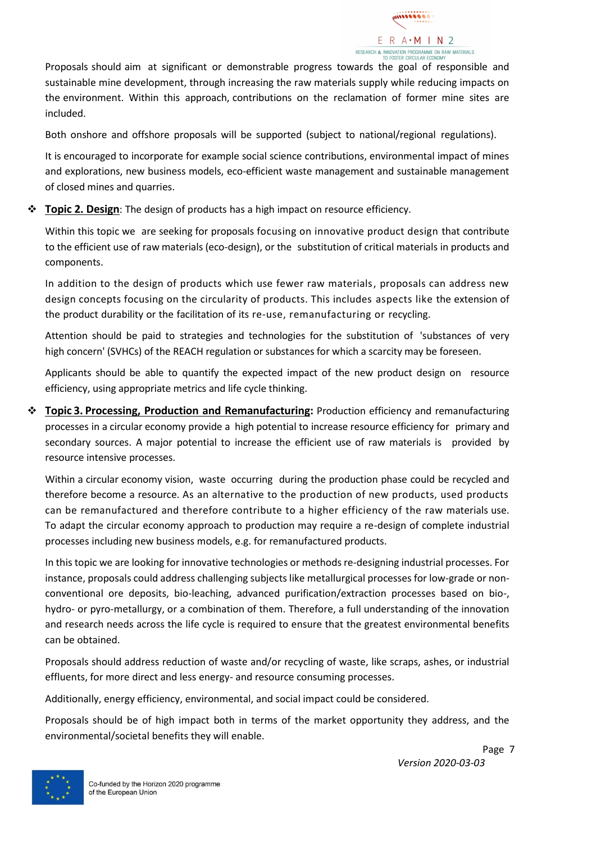

Proposals should aim at significant or demonstrable progress towards the goal of responsible and sustainable mine development, through increasing the raw materials supply while reducing impacts on the environment. Within this approach, contributions on the reclamation of former mine sites are included.

Both onshore and offshore proposals will be supported (subject to national/regional regulations).

It is encouraged to incorporate for example social science contributions, environmental impact of mines and explorations, new business models, eco-efficient waste management and sustainable management of closed mines and quarries.

❖ **Topic 2. Design**: The design of products has a high impact on resource efficiency.

Within this topic we are seeking for proposals focusing on innovative product design that contribute to the efficient use of raw materials (eco-design), or the substitution of critical materials in products and components.

In addition to the design of products which use fewer raw materials, proposals can address new design concepts focusing on the circularity of products. This includes aspects like the extension of the product durability or the facilitation of its re-use, remanufacturing or recycling.

Attention should be paid to strategies and technologies for the substitution of 'substances of very high concern' (SVHCs) of the REACH regulation or substances for which a scarcity may be foreseen.

Applicants should be able to quantify the expected impact of the new product design on resource efficiency, using appropriate metrics and life cycle thinking.

❖ **Topic 3. Processing, Production and Remanufacturing:** Production efficiency and remanufacturing processes in a circular economy provide a high potential to increase resource efficiency for primary and secondary sources. A major potential to increase the efficient use of raw materials is provided by resource intensive processes.

Within a circular economy vision, waste occurring during the production phase could be recycled and therefore become a resource. As an alternative to the production of new products, used products can be remanufactured and therefore contribute to a higher efficiency of the raw materials use. To adapt the circular economy approach to production may require a re-design of complete industrial processes including new business models, e.g. for remanufactured products.

In this topic we are looking for innovative technologies or methods re-designing industrial processes. For instance, proposals could address challenging subjects like metallurgical processes for low-grade or nonconventional ore deposits, bio-leaching, advanced purification/extraction processes based on bio-, hydro- or pyro-metallurgy, or a combination of them. Therefore, a full understanding of the innovation and research needs across the life cycle is required to ensure that the greatest environmental benefits can be obtained.

Proposals should address reduction of waste and/or recycling of waste, like scraps, ashes, or industrial effluents, for more direct and less energy- and resource consuming processes.

Additionally, energy efficiency, environmental, and social impact could be considered.

Proposals should be of high impact both in terms of the market opportunity they address, and the environmental/societal benefits they will enable.

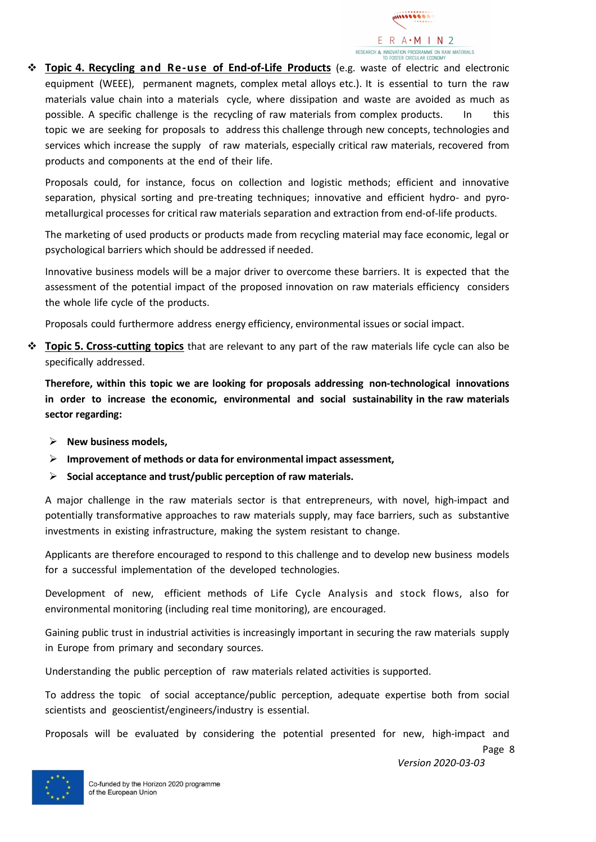

❖ **Topic 4. Recycling and Re-use of End-of-Life Products** (e.g. waste of electric and electronic equipment (WEEE), permanent magnets, complex metal alloys etc.). It is essential to turn the raw materials value chain into a materials cycle, where dissipation and waste are avoided as much as possible. A specific challenge is the recycling of raw materials from complex products. In this topic we are seeking for proposals to address this challenge through new concepts, technologies and services which increase the supply of raw materials, especially critical raw materials, recovered from products and components at the end of their life.

Proposals could, for instance, focus on collection and logistic methods; efficient and innovative separation, physical sorting and pre-treating techniques; innovative and efficient hydro- and pyrometallurgical processes for critical raw materials separation and extraction from end-of-life products.

The marketing of used products or products made from recycling material may face economic, legal or psychological barriers which should be addressed if needed.

Innovative business models will be a major driver to overcome these barriers. It is expected that the assessment of the potential impact of the proposed innovation on raw materials efficiency considers the whole life cycle of the products.

Proposals could furthermore address energy efficiency, environmental issues or social impact.

❖ **Topic 5. Cross-cutting topics** that are relevant to any part of the raw materials life cycle can also be specifically addressed.

**Therefore, within this topic we are looking for proposals addressing non-technological innovations in order to increase the economic, environmental and social sustainability in the raw materials sector regarding:**

- ➢ **New business models,**
- ➢ **Improvement of methods or data for environmental impact assessment,**
- ➢ **Social acceptance and trust/public perception of raw materials.**

A major challenge in the raw materials sector is that entrepreneurs, with novel, high-impact and potentially transformative approaches to raw materials supply, may face barriers, such as substantive investments in existing infrastructure, making the system resistant to change.

Applicants are therefore encouraged to respond to this challenge and to develop new business models for a successful implementation of the developed technologies.

Development of new, efficient methods of Life Cycle Analysis and stock flows, also for environmental monitoring (including real time monitoring), are encouraged.

Gaining public trust in industrial activities is increasingly important in securing the raw materials supply in Europe from primary and secondary sources.

Understanding the public perception of raw materials related activities is supported.

To address the topic of social acceptance/public perception, adequate expertise both from social scientists and geoscientist/engineers/industry is essential.

Proposals will be evaluated by considering the potential presented for new, high-impact and

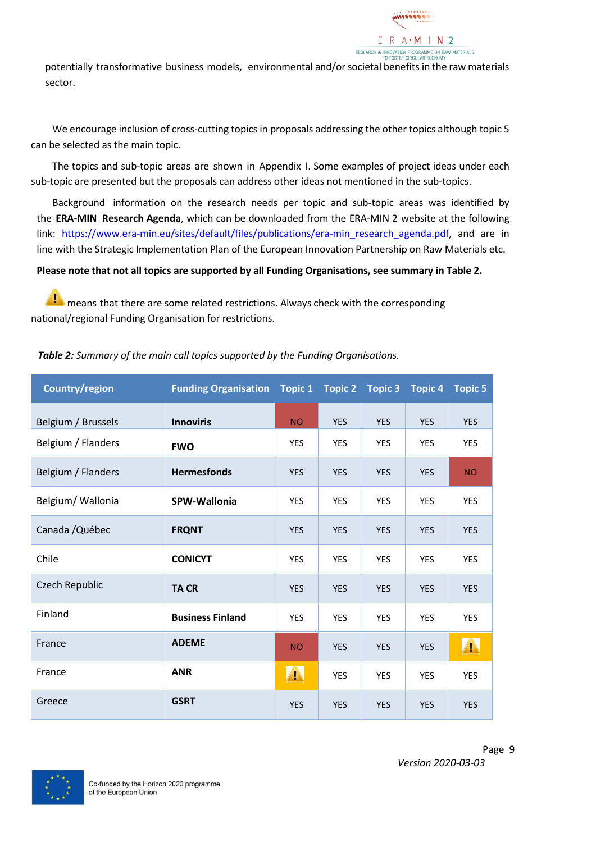

potentially transformative business models, environmental and/or societal benefits in the raw materials sector.

We encourage inclusion of cross-cutting topics in proposals addressing the other topics although topic 5 can be selected as the main topic.

The topics and sub-topic areas are shown in Appendix I. Some examples of project ideas under each sub-topic are presented but the proposals can address other ideas not mentioned in the sub-topics.

Background information on the research needs per topic and sub-topic areas was identified by the **ERA-MIN Research Agenda**, which can be downloaded from the ERA-MIN 2 website at the following link: [https://www.era-min.eu/sites/default/files/publications/era-min\\_research\\_agenda.pdf,](https://www.era-min.eu/sites/default/files/publications/era-min_research_agenda.pdf) and are in line with the Strategic Implementation Plan of the European Innovation Partnership on Raw Materials etc.

**Please note that not all topics are supported by all Funding Organisations, see summary in Table 2.**

means that there are some related restrictions. Always check with the corresponding national/regional Funding Organisation for restrictions.

| Country/region        | <b>Funding Organisation Topic 1</b> |            | <b>Topic 2</b> | <b>Topic 3</b> | <b>Topic 4</b> | <b>Topic 5</b> |
|-----------------------|-------------------------------------|------------|----------------|----------------|----------------|----------------|
| Belgium / Brussels    | <b>Innoviris</b>                    | <b>NO</b>  | <b>YES</b>     | <b>YES</b>     | <b>YES</b>     | <b>YES</b>     |
| Belgium / Flanders    | <b>FWO</b>                          | <b>YES</b> | <b>YES</b>     | <b>YES</b>     | <b>YES</b>     | <b>YES</b>     |
| Belgium / Flanders    | <b>Hermesfonds</b>                  | <b>YES</b> | <b>YES</b>     | <b>YES</b>     | <b>YES</b>     | <b>NO</b>      |
| Belgium/ Wallonia     | SPW-Wallonia                        | <b>YES</b> | <b>YES</b>     | <b>YES</b>     | <b>YES</b>     | <b>YES</b>     |
| Canada / Québec       | <b>FRQNT</b>                        | <b>YES</b> | <b>YES</b>     | <b>YES</b>     | <b>YES</b>     | <b>YES</b>     |
| Chile                 | <b>CONICYT</b>                      | <b>YES</b> | <b>YES</b>     | YES            | <b>YES</b>     | YES            |
| <b>Czech Republic</b> | <b>TACR</b>                         | <b>YES</b> | <b>YES</b>     | <b>YES</b>     | <b>YES</b>     | <b>YES</b>     |
| Finland               | <b>Business Finland</b>             | YES        | <b>YES</b>     | <b>YES</b>     | YES            | YES            |
| France                | <b>ADEME</b>                        | <b>NO</b>  | <b>YES</b>     | <b>YES</b>     | <b>YES</b>     | $\sqrt{1}$     |
| France                | <b>ANR</b>                          | $\sqrt{1}$ | <b>YES</b>     | <b>YES</b>     | <b>YES</b>     | <b>YES</b>     |
| Greece                | <b>GSRT</b>                         | <b>YES</b> | <b>YES</b>     | <b>YES</b>     | <b>YES</b>     | <b>YES</b>     |

#### *Table 2: Summary of the main call topics supported by the Funding Organisations.*

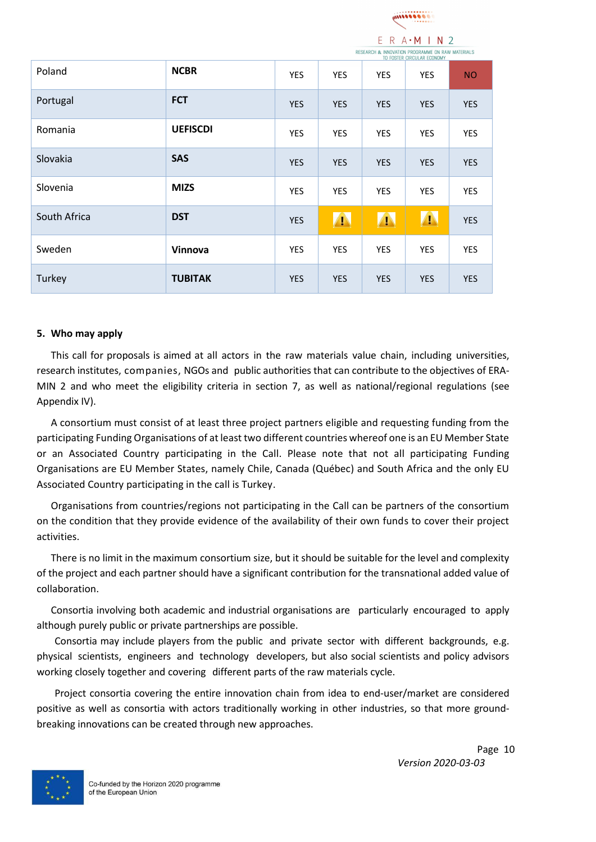

|              |                 |            |            |            | RESERVATION OF INJURNATION ENDURWING ON RAW MATERIALS<br>TO FOSTER CIRCULAR ECONOMY |            |
|--------------|-----------------|------------|------------|------------|-------------------------------------------------------------------------------------|------------|
| Poland       | <b>NCBR</b>     | YES        | YES        | YES        | YES                                                                                 | <b>NO</b>  |
| Portugal     | <b>FCT</b>      | <b>YES</b> | <b>YES</b> | <b>YES</b> | <b>YES</b>                                                                          | <b>YES</b> |
| Romania      | <b>UEFISCDI</b> | YES        | YES        | YES        | YES                                                                                 | <b>YES</b> |
| Slovakia     | <b>SAS</b>      | <b>YES</b> | <b>YES</b> | <b>YES</b> | <b>YES</b>                                                                          | <b>YES</b> |
| Slovenia     | <b>MIZS</b>     | YES        | YES        | YES        | YES                                                                                 | <b>YES</b> |
| South Africa | <b>DST</b>      | <b>YES</b> | $\sqrt{1}$ | $\sqrt{1}$ | A                                                                                   | <b>YES</b> |
| Sweden       | Vinnova         | YES        | YES        | YES        | YES                                                                                 | YES        |
| Turkey       | <b>TUBITAK</b>  | <b>YES</b> | <b>YES</b> | <b>YES</b> | <b>YES</b>                                                                          | <b>YES</b> |

#### <span id="page-9-0"></span>**5. Who may apply**

This call for proposals is aimed at all actors in the raw materials value chain, including universities, research institutes, companies, NGOs and public authorities that can contribute to the objectives of ERA-MIN 2 and who meet the eligibility criteria in section 7, as well as national/regional regulations (see Appendix IV).

A consortium must consist of at least three project partners eligible and requesting funding from the participating Funding Organisations of at least two different countries whereof one is an EU Member State or an Associated Country participating in the Call. Please note that not all participating Funding Organisations are EU Member States, namely Chile, Canada (Québec) and South Africa and the only EU Associated Country participating in the call is Turkey.

Organisations from countries/regions not participating in the Call can be partners of the consortium on the condition that they provide evidence of the availability of their own funds to cover their project activities.

There is no limit in the maximum consortium size, but it should be suitable for the level and complexity of the project and each partner should have a significant contribution for the transnational added value of collaboration.

Consortia involving both academic and industrial organisations are particularly encouraged to apply although purely public or private partnerships are possible.

Consortia may include players from the public and private sector with different backgrounds, e.g. physical scientists, engineers and technology developers, but also social scientists and policy advisors working closely together and covering different parts of the raw materials cycle.

Project consortia covering the entire innovation chain from idea to end-user/market are considered positive as well as consortia with actors traditionally working in other industries, so that more groundbreaking innovations can be created through new approaches.

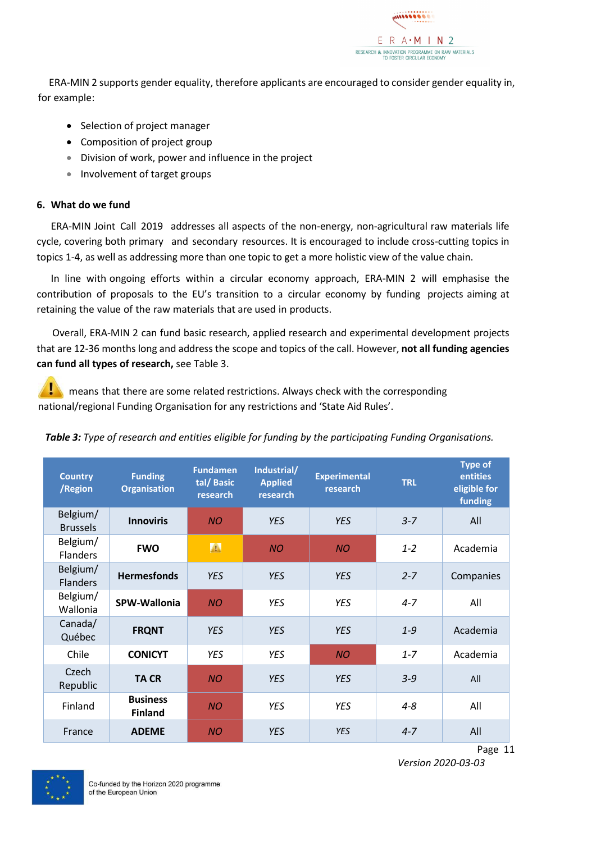

ERA-MIN 2 supports gender equality, therefore applicants are encouraged to consider gender equality in, for example:

- Selection of project manager
- Composition of project group
- Division of work, power and influence in the project
- Involvement of target groups

#### <span id="page-10-0"></span>**6. What do we fund**

ERA-MIN Joint Call 2019 addresses all aspects of the non-energy, non-agricultural raw materials life cycle, covering both primary and secondary resources. It is encouraged to include cross-cutting topics in topics 1-4, as well as addressing more than one topic to get a more holistic view of the value chain.

In line with ongoing efforts within a circular economy approach, ERA-MIN 2 will emphasise the contribution of proposals to the EU's transition to a circular economy by funding projects aiming at retaining the value of the raw materials that are used in products.

Overall, ERA-MIN 2 can fund basic research, applied research and experimental development projects that are 12-36 months long and address the scope and topics of the call. However, **not all funding agencies can fund all types of research,** see Table 3.

means that there are some related restrictions. Always check with the corresponding national/regional Funding Organisation for any restrictions and 'State Aid Rules'.

| <b>Country</b><br>/Region   | <b>Funding</b><br><b>Organisation</b> | <b>Fundamen</b><br>tal/ Basic<br>research | Industrial/<br><b>Applied</b><br>research | <b>Experimental</b><br>research | <b>TRL</b> | <b>Type of</b><br>entities<br>eligible for<br>funding |
|-----------------------------|---------------------------------------|-------------------------------------------|-------------------------------------------|---------------------------------|------------|-------------------------------------------------------|
| Belgium/<br><b>Brussels</b> | <b>Innoviris</b>                      | <b>NO</b>                                 | <b>YES</b>                                | <b>YES</b>                      | $3 - 7$    | All                                                   |
| Belgium/<br><b>Flanders</b> | <b>FWO</b>                            | A                                         | <b>NO</b>                                 | <b>NO</b>                       | $1 - 2$    | Academia                                              |
| Belgium/<br><b>Flanders</b> | <b>Hermesfonds</b>                    | <b>YES</b>                                | <b>YES</b>                                | <b>YES</b>                      | $2 - 7$    | Companies                                             |
| Belgium/<br>Wallonia        | SPW-Wallonia                          | <b>NO</b>                                 | <b>YES</b>                                | <b>YES</b>                      | $4 - 7$    | All                                                   |
| Canada/<br>Québec           | <b>FRQNT</b>                          | <b>YES</b>                                | <b>YES</b>                                | <b>YES</b>                      | $1 - 9$    | Academia                                              |
| Chile                       | <b>CONICYT</b>                        | <b>YES</b>                                | <b>YES</b>                                | <b>NO</b>                       | $1 - 7$    | Academia                                              |
| Czech<br>Republic           | <b>TACR</b>                           | <b>NO</b>                                 | <b>YES</b>                                | <b>YES</b>                      | $3 - 9$    | All                                                   |
| Finland                     | <b>Business</b><br><b>Finland</b>     | <b>NO</b>                                 | <b>YES</b>                                | <b>YES</b>                      | $4 - 8$    | All                                                   |
| France                      | <b>ADEME</b>                          | <b>NO</b>                                 | <b>YES</b>                                | <b>YES</b>                      | $4 - 7$    | All                                                   |

#### *Table 3: Type of research and entities eligible for funding by the participating Funding Organisations.*



Page 11 *Version 2020-03-03*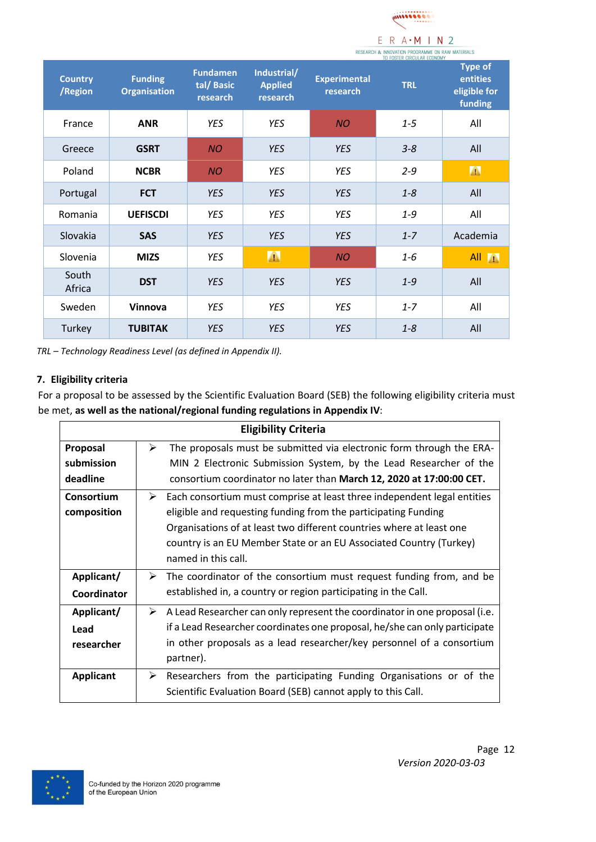

|                           |                                       |                                           |                                           | TO FOSTER CIRCULAR ECONOMY      |            |                                                       |  |
|---------------------------|---------------------------------------|-------------------------------------------|-------------------------------------------|---------------------------------|------------|-------------------------------------------------------|--|
| <b>Country</b><br>/Region | <b>Funding</b><br><b>Organisation</b> | <b>Fundamen</b><br>tal/ Basic<br>research | Industrial/<br><b>Applied</b><br>research | <b>Experimental</b><br>research | <b>TRL</b> | <b>Type of</b><br>entities<br>eligible for<br>funding |  |
| France                    | <b>ANR</b>                            | YES                                       | <b>YES</b>                                | <b>NO</b>                       | $1 - 5$    | All                                                   |  |
| Greece                    | <b>GSRT</b>                           | <b>NO</b>                                 | <b>YES</b>                                | <b>YES</b>                      | $3 - 8$    | All                                                   |  |
| Poland                    | <b>NCBR</b>                           | <b>NO</b>                                 | YES                                       | YES                             | $2 - 9$    | A                                                     |  |
| Portugal                  | <b>FCT</b>                            | <b>YES</b>                                | <b>YES</b>                                | <b>YES</b>                      | $1 - 8$    | All                                                   |  |
| Romania                   | <b>UEFISCDI</b>                       | <b>YES</b>                                | <b>YES</b>                                | <b>YES</b>                      | $1 - 9$    | All                                                   |  |
| Slovakia                  | <b>SAS</b>                            | <b>YES</b>                                | <b>YES</b>                                | <b>YES</b>                      | $1 - 7$    | Academia                                              |  |
| Slovenia                  | <b>MIZS</b>                           | YES                                       | A                                         | <b>NO</b>                       | 1-6        | All A                                                 |  |
| South<br>Africa           | <b>DST</b>                            | <b>YES</b>                                | <b>YES</b>                                | <b>YES</b>                      | $1 - 9$    | All                                                   |  |
| Sweden                    | Vinnova                               | <b>YES</b>                                | <b>YES</b>                                | <b>YES</b>                      | $1 - 7$    | All                                                   |  |
| Turkey                    | <b>TUBITAK</b>                        | <b>YES</b>                                | <b>YES</b>                                | <b>YES</b>                      | $1 - 8$    | All                                                   |  |

*TRL – Technology Readiness Level (as defined in Appendix II).*

#### <span id="page-11-0"></span>**7. Eligibility criteria**

For a proposal to be assessed by the Scientific Evaluation Board (SEB) the following eligibility criteria must be met, **as well as the national/regional funding regulations in Appendix IV**:

|                                    | <b>Eligibility Criteria</b>                                                                                                                                                                                                                                                                                         |
|------------------------------------|---------------------------------------------------------------------------------------------------------------------------------------------------------------------------------------------------------------------------------------------------------------------------------------------------------------------|
| Proposal<br>submission<br>deadline | ➤<br>The proposals must be submitted via electronic form through the ERA-<br>MIN 2 Electronic Submission System, by the Lead Researcher of the<br>consortium coordinator no later than March 12, 2020 at 17:00:00 CET.                                                                                              |
| Consortium<br>composition          | ➤<br>Each consortium must comprise at least three independent legal entities<br>eligible and requesting funding from the participating Funding<br>Organisations of at least two different countries where at least one<br>country is an EU Member State or an EU Associated Country (Turkey)<br>named in this call. |
| Applicant/<br>Coordinator          | $\triangleright$ The coordinator of the consortium must request funding from, and be<br>established in, a country or region participating in the Call.                                                                                                                                                              |
| Applicant/<br>Lead<br>researcher   | A Lead Researcher can only represent the coordinator in one proposal (i.e.<br>➤<br>if a Lead Researcher coordinates one proposal, he/she can only participate<br>in other proposals as a lead researcher/key personnel of a consortium<br>partner).                                                                 |
| <b>Applicant</b>                   | Researchers from the participating Funding Organisations or of the<br>➤<br>Scientific Evaluation Board (SEB) cannot apply to this Call.                                                                                                                                                                             |

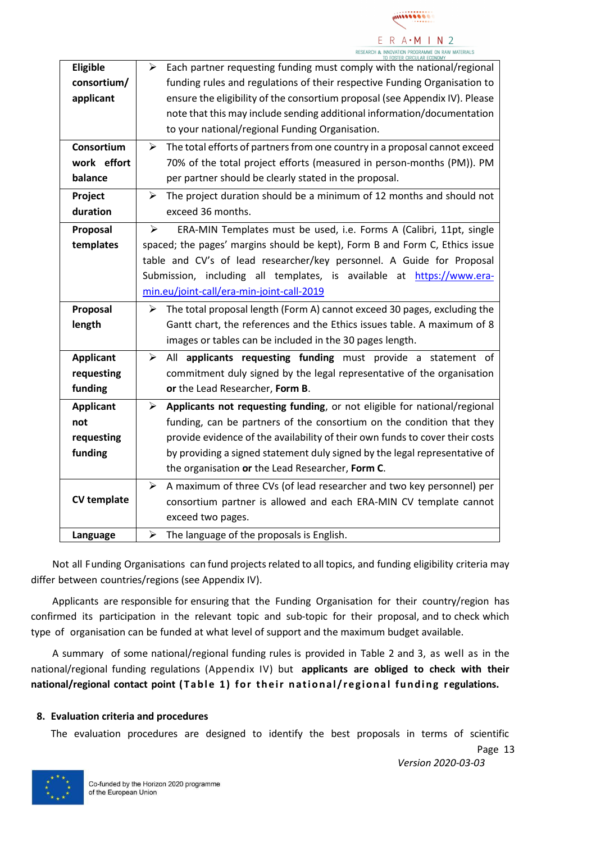

|                    | TO FOSTER CIRCUI AR ECONOMY                                                            |
|--------------------|----------------------------------------------------------------------------------------|
| Eligible           | Each partner requesting funding must comply with the national/regional<br>➤            |
| consortium/        | funding rules and regulations of their respective Funding Organisation to              |
| applicant          | ensure the eligibility of the consortium proposal (see Appendix IV). Please            |
|                    | note that this may include sending additional information/documentation                |
|                    | to your national/regional Funding Organisation.                                        |
| Consortium         | The total efforts of partners from one country in a proposal cannot exceed<br>➤        |
| work effort        | 70% of the total project efforts (measured in person-months (PM)). PM                  |
| balance            | per partner should be clearly stated in the proposal.                                  |
| Project            | The project duration should be a minimum of 12 months and should not<br>➤              |
| duration           | exceed 36 months.                                                                      |
| Proposal           | ERA-MIN Templates must be used, i.e. Forms A (Calibri, 11pt, single<br>➤               |
| templates          | spaced; the pages' margins should be kept), Form B and Form C, Ethics issue            |
|                    | table and CV's of lead researcher/key personnel. A Guide for Proposal                  |
|                    | Submission, including all templates, is available at https://www.era-                  |
|                    | min.eu/joint-call/era-min-joint-call-2019                                              |
| Proposal           | The total proposal length (Form A) cannot exceed 30 pages, excluding the<br>➤          |
| length             | Gantt chart, the references and the Ethics issues table. A maximum of 8                |
|                    | images or tables can be included in the 30 pages length.                               |
| <b>Applicant</b>   | All applicants requesting funding must provide a statement of<br>$\blacktriangleright$ |
| requesting         | commitment duly signed by the legal representative of the organisation                 |
| funding            | or the Lead Researcher, Form B.                                                        |
| <b>Applicant</b>   | Applicants not requesting funding, or not eligible for national/regional<br>➤          |
| not                | funding, can be partners of the consortium on the condition that they                  |
| requesting         | provide evidence of the availability of their own funds to cover their costs           |
| funding            | by providing a signed statement duly signed by the legal representative of             |
|                    | the organisation or the Lead Researcher, Form C.                                       |
|                    | A maximum of three CVs (of lead researcher and two key personnel) per<br>➤             |
| <b>CV template</b> | consortium partner is allowed and each ERA-MIN CV template cannot                      |
|                    | exceed two pages.                                                                      |
| Language           | The language of the proposals is English.<br>$\blacktriangleright$                     |
|                    |                                                                                        |

Not all Funding Organisations can fund projects related to all topics, and funding eligibility criteria may differ between countries/regions (see Appendix IV).

Applicants are responsible for ensuring that the Funding Organisation for their country/region has confirmed its participation in the relevant topic and sub-topic for their proposal, and to check which type of organisation can be funded at what level of support and the maximum budget available.

A summary of some national/regional funding rules is provided in Table 2 and 3, as well as in the national/regional funding regulations (Appendix IV) but **applicants are obliged to check with their national/regional contact point (T a b l e 1 ) f o r t h e i r n a t i o n a l / r e g i o n a l f u n d i n g regulations.**

#### <span id="page-12-0"></span>**8. Evaluation criteria and procedures**

The evaluation procedures are designed to identify the best proposals in terms of scientific

Page 13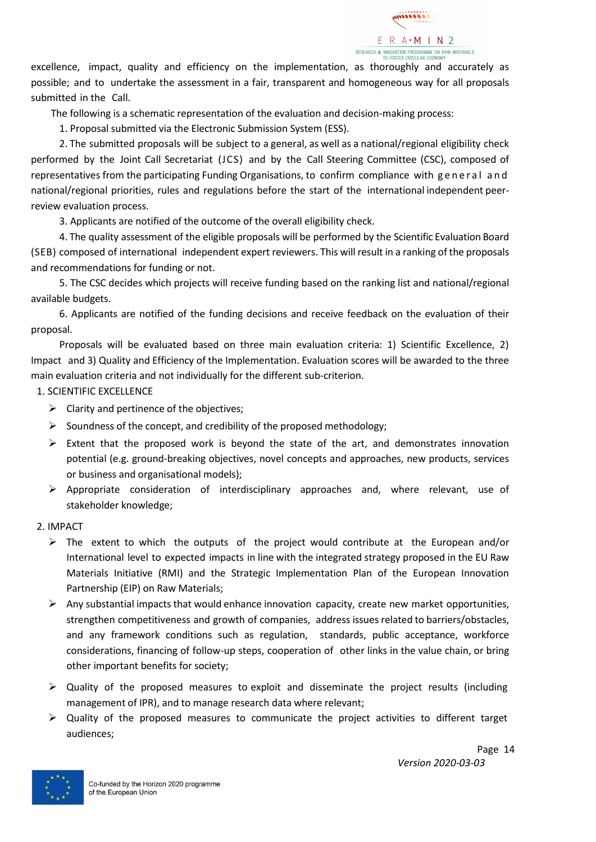

excellence, impact, quality and efficiency on the implementation, as thoroughly and accurately as possible; and to undertake the assessment in a fair, transparent and homogeneous way for all proposals submitted in the Call.

The following is a schematic representation of the evaluation and decision-making process:

1. Proposal submitted via the Electronic Submission System (ESS).

2. The submitted proposals will be subject to a general, as well as a national/regional eligibility check performed by the Joint Call Secretariat (JCS) and by the Call Steering Committee (CSC), composed of representatives from the participating Funding Organisations, to confirm compliance with general and national/regional priorities, rules and regulations before the start of the international independent peerreview evaluation process.

3. Applicants are notified of the outcome of the overall eligibility check.

4. The quality assessment of the eligible proposals will be performed by the Scientific Evaluation Board (SEB) composed of international independent expert reviewers. This will result in a ranking of the proposals and recommendations for funding or not.

5. The CSC decides which projects will receive funding based on the ranking list and national/regional available budgets.

6. Applicants are notified of the funding decisions and receive feedback on the evaluation of their proposal.

Proposals will be evaluated based on three main evaluation criteria: 1) Scientific Excellence, 2) Impact and 3) Quality and Efficiency of the Implementation. Evaluation scores will be awarded to the three main evaluation criteria and not individually for the different sub-criterion.

1. SCIENTIFIC EXCELLENCE

- $\triangleright$  Clarity and pertinence of the objectives;
- $\triangleright$  Soundness of the concept, and credibility of the proposed methodology;
- $\triangleright$  Extent that the proposed work is beyond the state of the art, and demonstrates innovation potential (e.g. ground-breaking objectives, novel concepts and approaches, new products, services or business and organisational models);
- ➢ Appropriate consideration of interdisciplinary approaches and, where relevant, use of stakeholder knowledge;
- 2. IMPACT
	- $\triangleright$  The extent to which the outputs of the project would contribute at the European and/or International level to expected impacts in line with the integrated strategy proposed in the EU Raw Materials Initiative (RMI) and the Strategic Implementation Plan of the European Innovation Partnership (EIP) on Raw Materials;
	- $\triangleright$  Any substantial impacts that would enhance innovation capacity, create new market opportunities, strengthen competitiveness and growth of companies, address issues related to barriers/obstacles, and any framework conditions such as regulation, standards, public acceptance, workforce considerations, financing of follow-up steps, cooperation of other links in the value chain, or bring other important benefits for society;
	- $\triangleright$  Quality of the proposed measures to exploit and disseminate the project results (including management of IPR), and to manage research data where relevant;
	- $\triangleright$  Quality of the proposed measures to communicate the project activities to different target audiences;

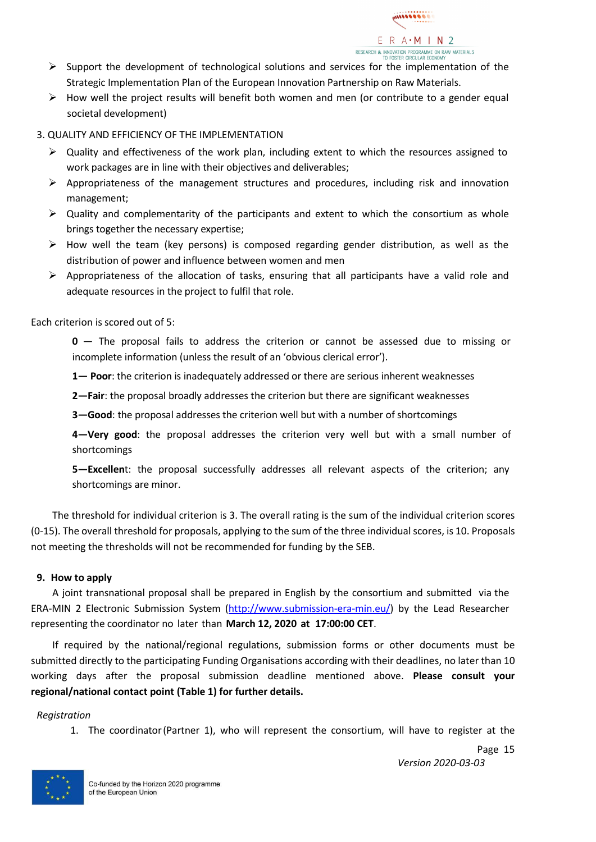

- $\triangleright$  Support the development of technological solutions and services for the implementation of the Strategic Implementation Plan of the European Innovation Partnership on Raw Materials.
- $\triangleright$  How well the project results will benefit both women and men (or contribute to a gender equal societal development)

#### 3. QUALITY AND EFFICIENCY OF THE IMPLEMENTATION

- $\triangleright$  Quality and effectiveness of the work plan, including extent to which the resources assigned to work packages are in line with their objectives and deliverables;
- $\triangleright$  Appropriateness of the management structures and procedures, including risk and innovation management;
- $\triangleright$  Quality and complementarity of the participants and extent to which the consortium as whole brings together the necessary expertise;
- $\triangleright$  How well the team (key persons) is composed regarding gender distribution, as well as the distribution of power and influence between women and men
- $\triangleright$  Appropriateness of the allocation of tasks, ensuring that all participants have a valid role and adequate resources in the project to fulfil that role.

Each criterion is scored out of 5:

**0** — The proposal fails to address the criterion or cannot be assessed due to missing or incomplete information (unless the result of an 'obvious clerical error').

**1— Poor**: the criterion is inadequately addressed or there are serious inherent weaknesses

**2—Fair**: the proposal broadly addresses the criterion but there are significant weaknesses

**3—Good**: the proposal addresses the criterion well but with a number of shortcomings

**4—Very good**: the proposal addresses the criterion very well but with a small number of shortcomings

**5—Excellen**t: the proposal successfully addresses all relevant aspects of the criterion; any shortcomings are minor.

The threshold for individual criterion is 3. The overall rating is the sum of the individual criterion scores (0-15). The overall threshold for proposals, applying to the sum of the three individual scores, is 10. Proposals not meeting the thresholds will not be recommended for funding by the SEB.

#### <span id="page-14-0"></span>**9. How to apply**

A joint transnational proposal shall be prepared in English by the consortium and submitted via the ERA-MIN 2 Electronic Submission System [\(http://www.submission-era-min.eu/\)](http://www.submission-era-min.eu/) by the Lead Researcher representing the coordinator no later than **March 12, 2020 at 17:00:00 CET**.

If required by the national/regional regulations, submission forms or other documents must be submitted directly to the participating Funding Organisations according with their deadlines, no later than 10 working days after the proposal submission deadline mentioned above. **Please consult your regional/national contact point (Table 1) for further details.**

#### *Registration*

1. The coordinator(Partner 1), who will represent the consortium, will have to register at the



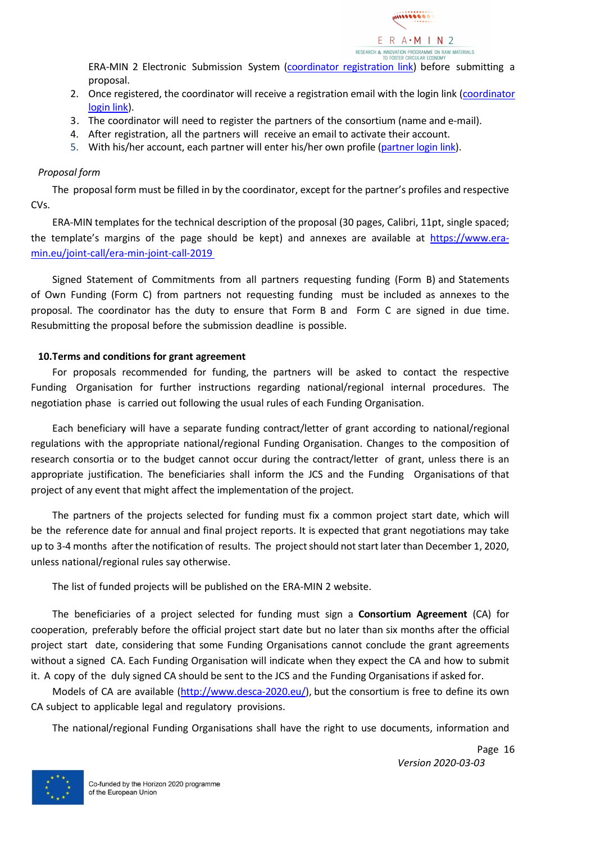

ERA-MIN 2 Electronic Submission System [\(coordinator registration link\)](https://www.submission-era-min.eu/call3/registration) before submitting a proposal.

- 2. Once registered, the coordinator will receive a registration email with the login link [\(coordinator](https://www.submission-era-min.eu/call3/coordinator-login)  [login link\)](https://www.submission-era-min.eu/call3/coordinator-login).
- 3. The coordinator will need to register the partners of the consortium (name and e-mail).
- 4. After registration, all the partners will receive an email to activate their account.
- 5. With his/her account, each partner will enter his/her own profile [\(partner login link\)](https://www.submission-era-min.eu/call3/partner-login).

#### *Proposal form*

The proposal form must be filled in by the coordinator, except for the partner's profiles and respective CVs.

ERA-MIN templates for the technical description of the proposal (30 pages, Calibri, 11pt, single spaced; the template's margins of the page should be kept) and annexes are available at [https://www.era](https://www.era-min.eu/joint-call/era-min-joint-call-2019)[min.eu/joint-call/era-min-joint-call-2019](https://www.era-min.eu/joint-call/era-min-joint-call-2019)

Signed Statement of Commitments from all partners requesting funding (Form B) and Statements of Own Funding (Form C) from partners not requesting funding must be included as annexes to the proposal. The coordinator has the duty to ensure that Form B and Form C are signed in due time. Resubmitting the proposal before the submission deadline is possible.

#### <span id="page-15-0"></span>**10.Terms and conditions for grant agreement**

For proposals recommended for funding, the partners will be asked to contact the respective Funding Organisation for further instructions regarding national/regional internal procedures. The negotiation phase is carried out following the usual rules of each Funding Organisation.

Each beneficiary will have a separate funding contract/letter of grant according to national/regional regulations with the appropriate national/regional Funding Organisation. Changes to the composition of research consortia or to the budget cannot occur during the contract/letter of grant, unless there is an appropriate justification. The beneficiaries shall inform the JCS and the Funding Organisations of that project of any event that might affect the implementation of the project.

The partners of the projects selected for funding must fix a common project start date, which will be the reference date for annual and final project reports. It is expected that grant negotiations may take up to 3-4 months after the notification of results. The projectshould not start later than December 1, 2020, unless national/regional rules say otherwise.

The list of funded projects will be published on the ERA-MIN 2 website.

The beneficiaries of a project selected for funding must sign a **Consortium Agreement** (CA) for cooperation, preferably before the official project start date but no later than six months after the official project start date, considering that some Funding Organisations cannot conclude the grant agreements without a signed CA. Each Funding Organisation will indicate when they expect the CA and how to submit it. A copy of the duly signed CA should be sent to the JCS and the Funding Organisations if asked for.

Models of CA are available [\(http://www.desca-2020.eu/\)](http://www.desca-2020.eu/), but the consortium is free to define its own CA subject to applicable legal and regulatory provisions.

The national/regional Funding Organisations shall have the right to use documents, information and

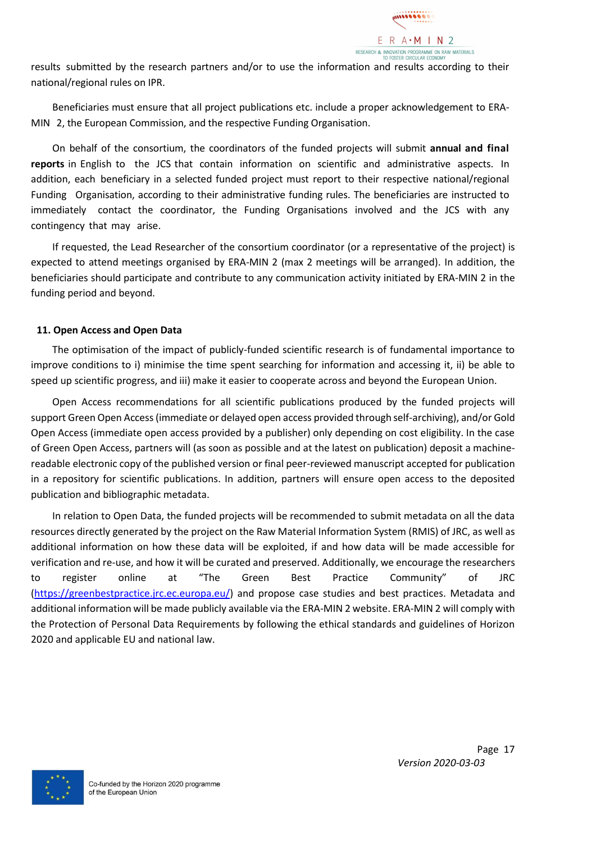

results submitted by the research partners and/or to use the information and results according to their national/regional rules on IPR.

Beneficiaries must ensure that all project publications etc. include a proper acknowledgement to ERA-MIN 2, the European Commission, and the respective Funding Organisation.

On behalf of the consortium, the coordinators of the funded projects will submit **annual and final reports** in English to the JCS that contain information on scientific and administrative aspects. In addition, each beneficiary in a selected funded project must report to their respective national/regional Funding Organisation, according to their administrative funding rules. The beneficiaries are instructed to immediately contact the coordinator, the Funding Organisations involved and the JCS with any contingency that may arise.

If requested, the Lead Researcher of the consortium coordinator (or a representative of the project) is expected to attend meetings organised by ERA-MIN 2 (max 2 meetings will be arranged). In addition, the beneficiaries should participate and contribute to any communication activity initiated by ERA-MIN 2 in the funding period and beyond.

#### <span id="page-16-0"></span>**11. Open Access and Open Data**

The optimisation of the impact of publicly-funded scientific research is of fundamental importance to improve conditions to i) minimise the time spent searching for information and accessing it, ii) be able to speed up scientific progress, and iii) make it easier to cooperate across and beyond the European Union.

Open Access recommendations for all scientific publications produced by the funded projects will support Green Open Access (immediate or delayed open access provided through self-archiving), and/or Gold Open Access (immediate open access provided by a publisher) only depending on cost eligibility. In the case of Green Open Access, partners will (as soon as possible and at the latest on publication) deposit a machinereadable electronic copy of the published version or final peer-reviewed manuscript accepted for publication in a repository for scientific publications. In addition, partners will ensure open access to the deposited publication and bibliographic metadata.

In relation to Open Data, the funded projects will be recommended to submit metadata on all the data resources directly generated by the project on the Raw Material Information System (RMIS) of JRC, as well as additional information on how these data will be exploited, if and how data will be made accessible for verification and re-use, and how it will be curated and preserved. Additionally, we encourage the researchers to register online at "The Green Best Practice Community" of JRC [\(https://greenbestpractice.jrc.ec.europa.eu/\)](https://greenbestpractice.jrc.ec.europa.eu/) and propose case studies and best practices. Metadata and additional information will be made publicly available via the ERA-MIN 2 website. ERA-MIN 2 will comply with the Protection of Personal Data Requirements by following the ethical standards and guidelines of Horizon 2020 and applicable EU and national law.

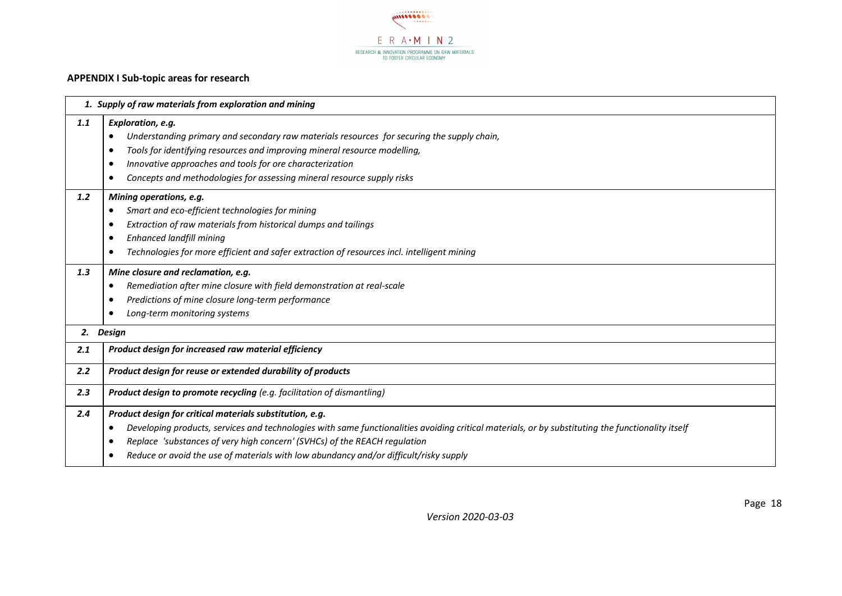

#### **APPENDIX I Sub-topic areas for research**

<span id="page-17-0"></span>

|     | 1. Supply of raw materials from exploration and mining                                                                                                         |  |  |  |  |  |  |
|-----|----------------------------------------------------------------------------------------------------------------------------------------------------------------|--|--|--|--|--|--|
| 1.1 | Exploration, e.g.                                                                                                                                              |  |  |  |  |  |  |
|     | Understanding primary and secondary raw materials resources for securing the supply chain,<br>$\bullet$                                                        |  |  |  |  |  |  |
|     | Tools for identifying resources and improving mineral resource modelling,<br>$\bullet$                                                                         |  |  |  |  |  |  |
|     | Innovative approaches and tools for ore characterization<br>٠                                                                                                  |  |  |  |  |  |  |
|     | Concepts and methodologies for assessing mineral resource supply risks<br>٠                                                                                    |  |  |  |  |  |  |
| 1.2 | Mining operations, e.g.                                                                                                                                        |  |  |  |  |  |  |
|     | Smart and eco-efficient technologies for mining<br>$\bullet$                                                                                                   |  |  |  |  |  |  |
|     | Extraction of raw materials from historical dumps and tailings<br>٠                                                                                            |  |  |  |  |  |  |
|     | <b>Enhanced landfill mining</b><br>$\bullet$                                                                                                                   |  |  |  |  |  |  |
|     | Technologies for more efficient and safer extraction of resources incl. intelligent mining<br>$\bullet$                                                        |  |  |  |  |  |  |
| 1.3 | Mine closure and reclamation, e.g.                                                                                                                             |  |  |  |  |  |  |
|     | Remediation after mine closure with field demonstration at real-scale<br>٠                                                                                     |  |  |  |  |  |  |
|     | Predictions of mine closure long-term performance<br>٠                                                                                                         |  |  |  |  |  |  |
|     | Long-term monitoring systems<br>٠                                                                                                                              |  |  |  |  |  |  |
|     | 2. Design                                                                                                                                                      |  |  |  |  |  |  |
| 2.1 | Product design for increased raw material efficiency                                                                                                           |  |  |  |  |  |  |
| 2.2 | Product design for reuse or extended durability of products                                                                                                    |  |  |  |  |  |  |
| 2.3 | <b>Product design to promote recycling</b> (e.g. facilitation of dismantling)                                                                                  |  |  |  |  |  |  |
| 2.4 | Product design for critical materials substitution, e.g.                                                                                                       |  |  |  |  |  |  |
|     | Developing products, services and technologies with same functionalities avoiding critical materials, or by substituting the functionality itself<br>$\bullet$ |  |  |  |  |  |  |
|     | Replace 'substances of very high concern' (SVHCs) of the REACH regulation<br>٠                                                                                 |  |  |  |  |  |  |
|     | Reduce or avoid the use of materials with low abundancy and/or difficult/risky supply<br>٠                                                                     |  |  |  |  |  |  |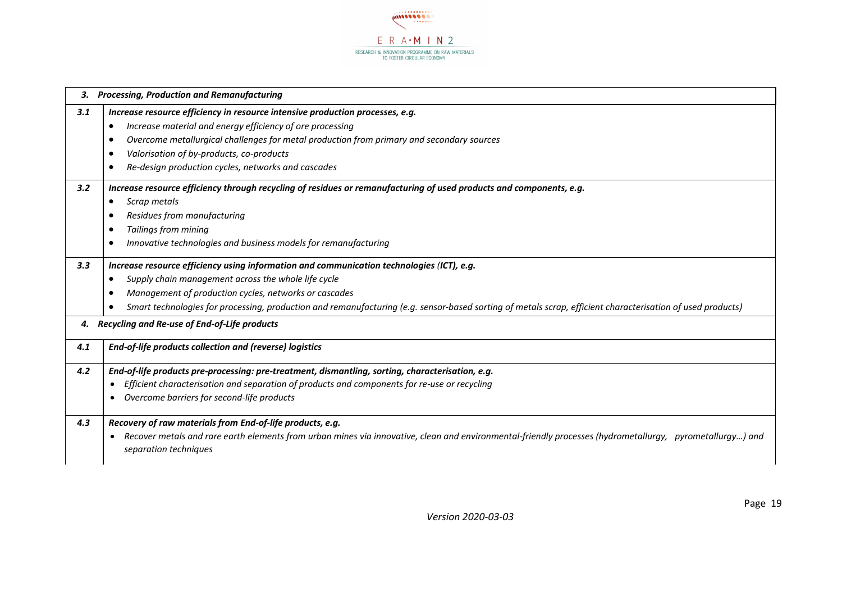

|     | 3. Processing, Production and Remanufacturing                                                                                                                                                  |
|-----|------------------------------------------------------------------------------------------------------------------------------------------------------------------------------------------------|
| 3.1 | Increase resource efficiency in resource intensive production processes, e.g.                                                                                                                  |
|     | Increase material and energy efficiency of ore processing<br>٠                                                                                                                                 |
|     | Overcome metallurgical challenges for metal production from primary and secondary sources<br>$\bullet$                                                                                         |
|     | Valorisation of by-products, co-products<br>$\bullet$                                                                                                                                          |
|     | Re-design production cycles, networks and cascades                                                                                                                                             |
| 3.2 | Increase resource efficiency through recycling of residues or remanufacturing of used products and components, e.g.                                                                            |
|     | Scrap metals<br>٠                                                                                                                                                                              |
|     | Residues from manufacturing                                                                                                                                                                    |
|     | <b>Tailings from mining</b><br>$\bullet$                                                                                                                                                       |
|     | Innovative technologies and business models for remanufacturing                                                                                                                                |
| 3.3 | Increase resource efficiency using information and communication technologies (ICT), e.g.                                                                                                      |
|     | Supply chain management across the whole life cycle                                                                                                                                            |
|     | Management of production cycles, networks or cascades<br>$\bullet$                                                                                                                             |
|     | Smart technologies for processing, production and remanufacturing (e.g. sensor-based sorting of metals scrap, efficient characterisation of used products)                                     |
|     | 4. Recycling and Re-use of End-of-Life products                                                                                                                                                |
| 4.1 | End-of-life products collection and (reverse) logistics                                                                                                                                        |
| 4.2 | End-of-life products pre-processing: pre-treatment, dismantling, sorting, characterisation, e.g.                                                                                               |
|     | Efficient characterisation and separation of products and components for re-use or recycling<br>$\bullet$                                                                                      |
|     | Overcome barriers for second-life products<br>$\bullet$                                                                                                                                        |
| 4.3 | Recovery of raw materials from End-of-life products, e.g.                                                                                                                                      |
|     | Recover metals and rare earth elements from urban mines via innovative, clean and environmental-friendly processes (hydrometallurgy, pyrometallurgy) and<br>$\bullet$<br>separation techniques |

*Version 2020-03-03*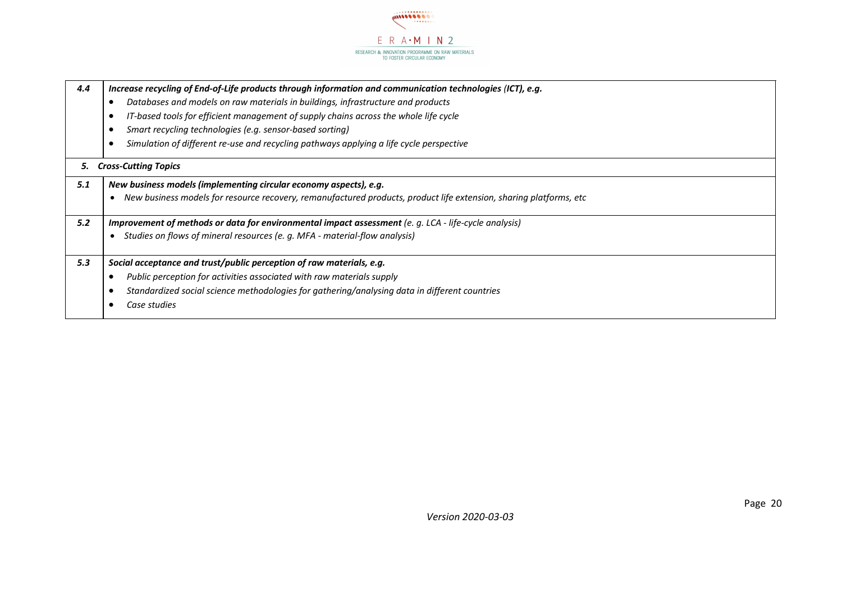

| 4.4 | Increase recycling of End-of-Life products through information and communication technologies (ICT), e.g.          |
|-----|--------------------------------------------------------------------------------------------------------------------|
|     | Databases and models on raw materials in buildings, infrastructure and products                                    |
|     | IT-based tools for efficient management of supply chains across the whole life cycle                               |
|     | Smart recycling technologies (e.g. sensor-based sorting)                                                           |
|     | Simulation of different re-use and recycling pathways applying a life cycle perspective                            |
| 5.  | <b>Cross-Cutting Topics</b>                                                                                        |
| 5.1 | New business models (implementing circular economy aspects), e.g.                                                  |
|     | New business models for resource recovery, remanufactured products, product life extension, sharing platforms, etc |
| 5.2 | Improvement of methods or data for environmental impact assessment (e. g. LCA - life-cycle analysis)               |
|     | Studies on flows of mineral resources (e. g. MFA - material-flow analysis)                                         |
| 5.3 | Social acceptance and trust/public perception of raw materials, e.g.                                               |
|     | Public perception for activities associated with raw materials supply                                              |
|     | Standardized social science methodologies for gathering/analysing data in different countries                      |
|     | Case studies                                                                                                       |
|     |                                                                                                                    |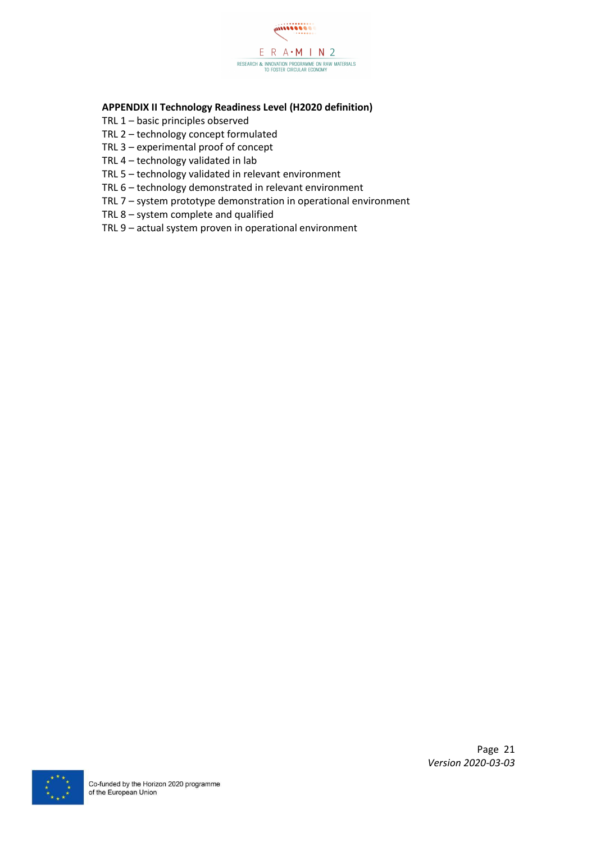

#### <span id="page-20-0"></span>**APPENDIX II Technology Readiness Level (H2020 definition)**

- TRL 1 basic principles observed
- TRL 2 technology concept formulated
- TRL 3 experimental proof of concept
- TRL 4 technology validated in lab
- TRL 5 technology validated in relevant environment
- TRL 6 technology demonstrated in relevant environment
- TRL 7 system prototype demonstration in operational environment
- TRL 8 system complete and qualified
- TRL 9 actual system proven in operational environment

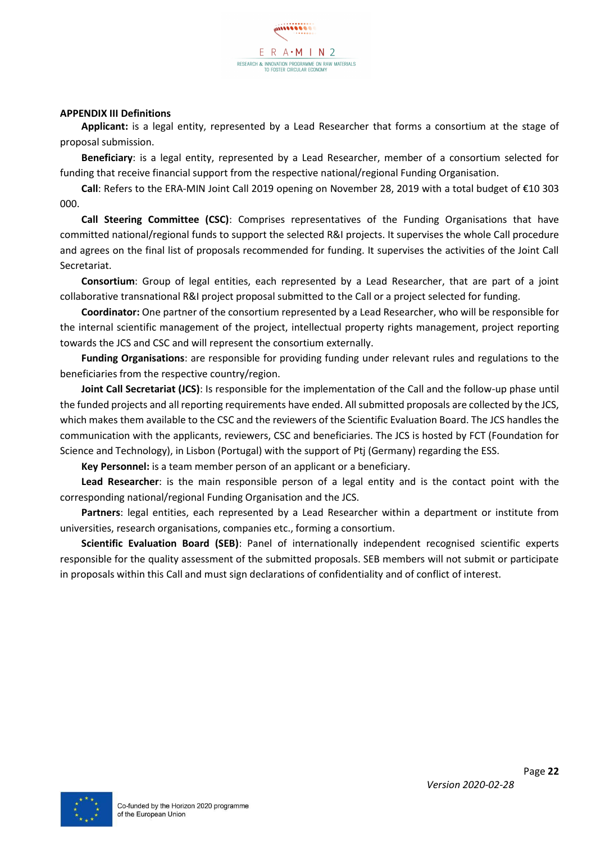#### <span id="page-21-0"></span>**APPENDIX III Definitions**

**Applicant:** is a legal entity, represented by a Lead Researcher that forms a consortium at the stage of proposal submission.

**Beneficiary**: is a legal entity, represented by a Lead Researcher, member of a consortium selected for funding that receive financial support from the respective national/regional Funding Organisation.

**Call**: Refers to the ERA-MIN Joint Call 2019 opening on November 28, 2019 with a total budget of €10 303 000.

**Call Steering Committee (CSC)**: Comprises representatives of the Funding Organisations that have committed national/regional funds to support the selected R&I projects. It supervises the whole Call procedure and agrees on the final list of proposals recommended for funding. It supervises the activities of the Joint Call Secretariat.

**Consortium**: Group of legal entities, each represented by a Lead Researcher, that are part of a joint collaborative transnational R&I project proposal submitted to the Call or a project selected for funding.

**Coordinator:** One partner of the consortium represented by a Lead Researcher, who will be responsible for the internal scientific management of the project, intellectual property rights management, project reporting towards the JCS and CSC and will represent the consortium externally.

**Funding Organisations**: are responsible for providing funding under relevant rules and regulations to the beneficiaries from the respective country/region.

**Joint Call Secretariat (JCS)**: Is responsible for the implementation of the Call and the follow-up phase until the funded projects and all reporting requirements have ended. All submitted proposals are collected by the JCS, which makes them available to the CSC and the reviewers of the Scientific Evaluation Board. The JCS handles the communication with the applicants, reviewers, CSC and beneficiaries. The JCS is hosted by FCT (Foundation for Science and Technology), in Lisbon (Portugal) with the support of Ptj (Germany) regarding the ESS.

**Key Personnel:** is a team member person of an applicant or a beneficiary.

**Lead Researcher**: is the main responsible person of a legal entity and is the contact point with the corresponding national/regional Funding Organisation and the JCS.

**Partners**: legal entities, each represented by a Lead Researcher within a department or institute from universities, research organisations, companies etc., forming a consortium.

**Scientific Evaluation Board (SEB)**: Panel of internationally independent recognised scientific experts responsible for the quality assessment of the submitted proposals. SEB members will not submit or participate in proposals within this Call and must sign declarations of confidentiality and of conflict of interest.

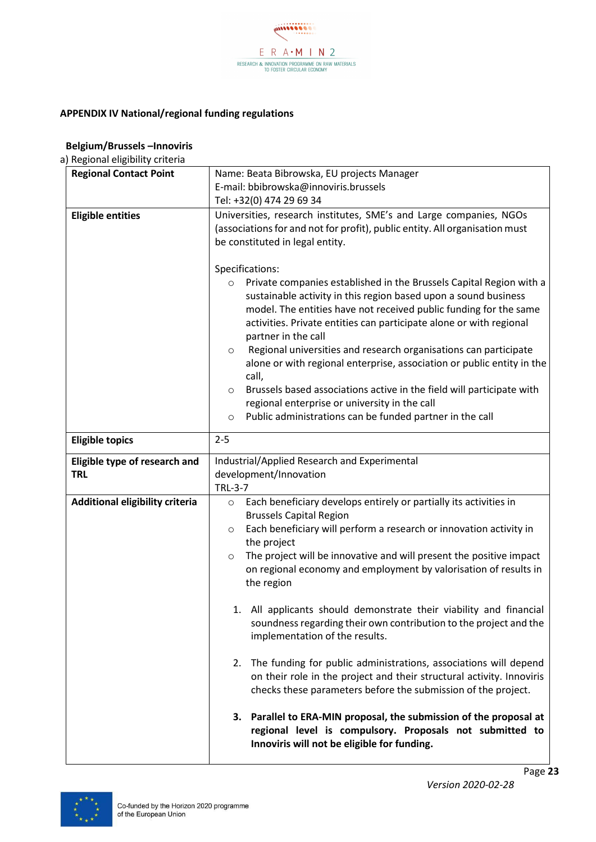

#### <span id="page-22-0"></span>**APPENDIX IV National/regional funding regulations**

| <b>Regional Contact Point</b>               | Name: Beata Bibrowska, EU projects Manager                                                                                                                                                                                                                                                                                                                                                                                                                                                                                                                                                                                                                                               |  |  |  |
|---------------------------------------------|------------------------------------------------------------------------------------------------------------------------------------------------------------------------------------------------------------------------------------------------------------------------------------------------------------------------------------------------------------------------------------------------------------------------------------------------------------------------------------------------------------------------------------------------------------------------------------------------------------------------------------------------------------------------------------------|--|--|--|
|                                             | E-mail: bbibrowska@innoviris.brussels                                                                                                                                                                                                                                                                                                                                                                                                                                                                                                                                                                                                                                                    |  |  |  |
|                                             | Tel: +32(0) 474 29 69 34                                                                                                                                                                                                                                                                                                                                                                                                                                                                                                                                                                                                                                                                 |  |  |  |
| <b>Eligible entities</b>                    | Universities, research institutes, SME's and Large companies, NGOs<br>(associations for and not for profit), public entity. All organisation must<br>be constituted in legal entity.<br>Specifications:<br>Private companies established in the Brussels Capital Region with a<br>$\circ$<br>sustainable activity in this region based upon a sound business<br>model. The entities have not received public funding for the same<br>activities. Private entities can participate alone or with regional<br>partner in the call<br>Regional universities and research organisations can participate<br>$\circ$<br>alone or with regional enterprise, association or public entity in the |  |  |  |
|                                             | call,<br>Brussels based associations active in the field will participate with<br>$\circ$<br>regional enterprise or university in the call                                                                                                                                                                                                                                                                                                                                                                                                                                                                                                                                               |  |  |  |
|                                             | Public administrations can be funded partner in the call<br>$\circ$                                                                                                                                                                                                                                                                                                                                                                                                                                                                                                                                                                                                                      |  |  |  |
| <b>Eligible topics</b>                      | $2 - 5$                                                                                                                                                                                                                                                                                                                                                                                                                                                                                                                                                                                                                                                                                  |  |  |  |
| Eligible type of research and<br><b>TRL</b> | Industrial/Applied Research and Experimental<br>development/Innovation<br><b>TRL-3-7</b>                                                                                                                                                                                                                                                                                                                                                                                                                                                                                                                                                                                                 |  |  |  |
| <b>Additional eligibility criteria</b>      | Each beneficiary develops entirely or partially its activities in<br>$\circ$<br><b>Brussels Capital Region</b><br>Each beneficiary will perform a research or innovation activity in<br>$\circ$<br>the project<br>The project will be innovative and will present the positive impact<br>$\circ$<br>on regional economy and employment by valorisation of results in<br>the region                                                                                                                                                                                                                                                                                                       |  |  |  |

#### **Belgium/Brussels –Innoviris** a) Regional eligibility criteria

|                                 | sustainable activity in this region based upon a sound business<br>model. The entities have not received public funding for the same<br>activities. Private entities can participate alone or with regional<br>partner in the call<br>Regional universities and research organisations can participate<br>$\circ$<br>alone or with regional enterprise, association or public entity in the<br>call,<br>Brussels based associations active in the field will participate with<br>$\circ$<br>regional enterprise or university in the call<br>Public administrations can be funded partner in the call<br>$\circ$ |  |
|---------------------------------|------------------------------------------------------------------------------------------------------------------------------------------------------------------------------------------------------------------------------------------------------------------------------------------------------------------------------------------------------------------------------------------------------------------------------------------------------------------------------------------------------------------------------------------------------------------------------------------------------------------|--|
| <b>Eligible topics</b>          | $2 - 5$                                                                                                                                                                                                                                                                                                                                                                                                                                                                                                                                                                                                          |  |
| Eligible type of research and   | Industrial/Applied Research and Experimental                                                                                                                                                                                                                                                                                                                                                                                                                                                                                                                                                                     |  |
| <b>TRL</b>                      | development/Innovation                                                                                                                                                                                                                                                                                                                                                                                                                                                                                                                                                                                           |  |
|                                 | <b>TRL-3-7</b>                                                                                                                                                                                                                                                                                                                                                                                                                                                                                                                                                                                                   |  |
| Additional eligibility criteria | Each beneficiary develops entirely or partially its activities in<br>$\circ$<br><b>Brussels Capital Region</b>                                                                                                                                                                                                                                                                                                                                                                                                                                                                                                   |  |
|                                 | Each beneficiary will perform a research or innovation activity in<br>$\circ$                                                                                                                                                                                                                                                                                                                                                                                                                                                                                                                                    |  |
|                                 | the project                                                                                                                                                                                                                                                                                                                                                                                                                                                                                                                                                                                                      |  |
|                                 | The project will be innovative and will present the positive impact<br>$\circ$                                                                                                                                                                                                                                                                                                                                                                                                                                                                                                                                   |  |
|                                 | on regional economy and employment by valorisation of results in<br>the region                                                                                                                                                                                                                                                                                                                                                                                                                                                                                                                                   |  |
|                                 | 1. All applicants should demonstrate their viability and financial<br>soundness regarding their own contribution to the project and the<br>implementation of the results.                                                                                                                                                                                                                                                                                                                                                                                                                                        |  |
|                                 | The funding for public administrations, associations will depend<br>2.<br>on their role in the project and their structural activity. Innoviris<br>checks these parameters before the submission of the project.                                                                                                                                                                                                                                                                                                                                                                                                 |  |
|                                 | Parallel to ERA-MIN proposal, the submission of the proposal at<br>3.<br>regional level is compulsory. Proposals not submitted to                                                                                                                                                                                                                                                                                                                                                                                                                                                                                |  |

**Innoviris will not be eligible for funding.**

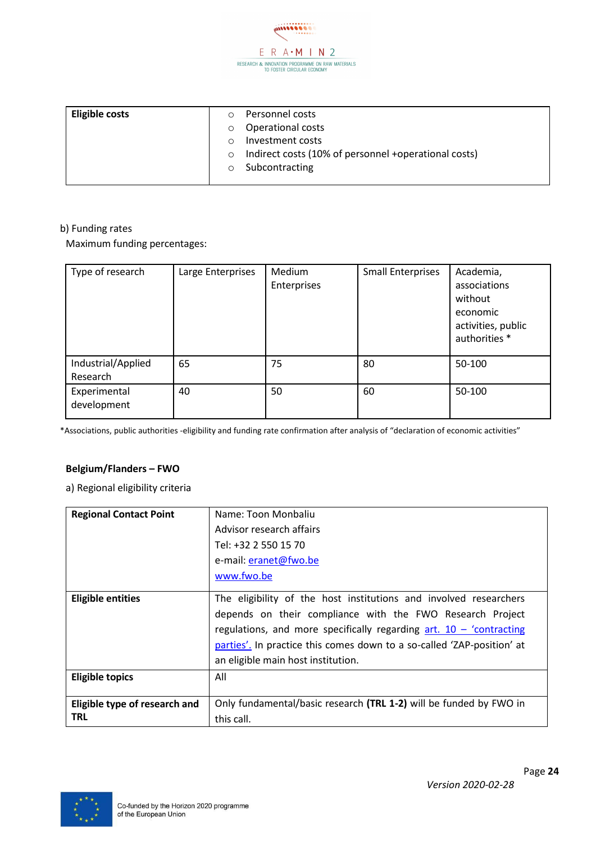

| <b>Eligible costs</b> | O        | Personnel costs                                              |
|-----------------------|----------|--------------------------------------------------------------|
|                       | $\circ$  | <b>Operational costs</b>                                     |
|                       | $\Omega$ | Investment costs                                             |
|                       |          | $\circ$ Indirect costs (10% of personnel +operational costs) |
|                       |          | $\circ$ Subcontracting                                       |
|                       |          |                                                              |

Maximum funding percentages:

| Type of research               | Large Enterprises | Medium<br>Enterprises | <b>Small Enterprises</b> | Academia,<br>associations<br>without<br>economic<br>activities, public<br>authorities * |
|--------------------------------|-------------------|-----------------------|--------------------------|-----------------------------------------------------------------------------------------|
| Industrial/Applied<br>Research | 65                | 75                    | 80                       | 50-100                                                                                  |
| Experimental<br>development    | 40                | 50                    | 60                       | 50-100                                                                                  |

\*Associations, public authorities -eligibility and funding rate confirmation after analysis of "declaration of economic activities"

#### **Belgium/Flanders – FWO**

| <b>Regional Contact Point</b>               | Name: Toon Monbaliu<br>Advisor research affairs<br>Tel: +32 2 550 15 70<br>e-mail: eranet@fwo.be                                                                                                                                                                                                                        |  |
|---------------------------------------------|-------------------------------------------------------------------------------------------------------------------------------------------------------------------------------------------------------------------------------------------------------------------------------------------------------------------------|--|
|                                             | www.fwo.be                                                                                                                                                                                                                                                                                                              |  |
| <b>Eligible entities</b>                    | The eligibility of the host institutions and involved researchers<br>depends on their compliance with the FWO Research Project<br>regulations, and more specifically regarding $art. 10 - 'contracting$<br>parties'. In practice this comes down to a so-called 'ZAP-position' at<br>an eligible main host institution. |  |
| <b>Eligible topics</b>                      | All                                                                                                                                                                                                                                                                                                                     |  |
| Eligible type of research and<br><b>TRL</b> | Only fundamental/basic research (TRL 1-2) will be funded by FWO in<br>this call.                                                                                                                                                                                                                                        |  |

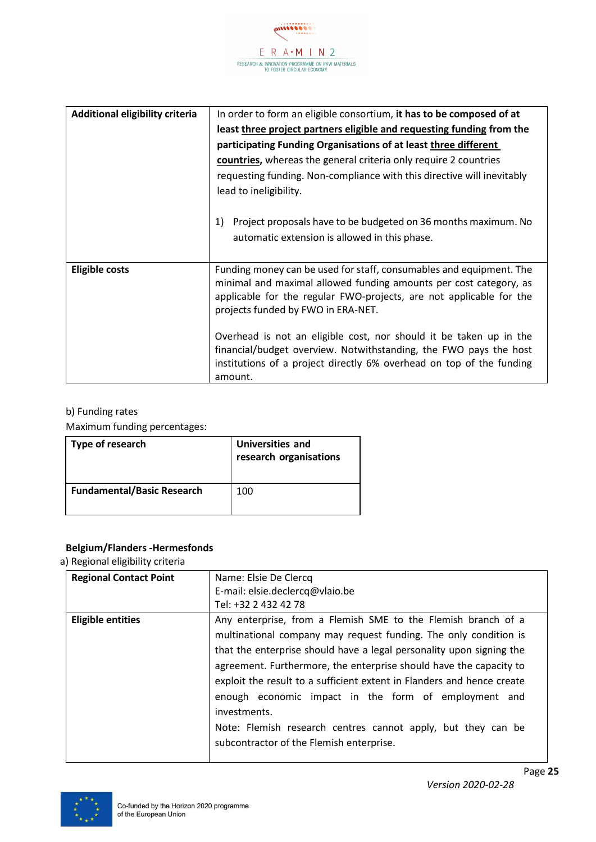

| <b>Additional eligibility criteria</b> | In order to form an eligible consortium, it has to be composed of at<br>least three project partners eligible and requesting funding from the<br>participating Funding Organisations of at least three different<br>countries, whereas the general criteria only require 2 countries<br>requesting funding. Non-compliance with this directive will inevitably |
|----------------------------------------|----------------------------------------------------------------------------------------------------------------------------------------------------------------------------------------------------------------------------------------------------------------------------------------------------------------------------------------------------------------|
|                                        | lead to ineligibility.<br>1)<br>Project proposals have to be budgeted on 36 months maximum. No<br>automatic extension is allowed in this phase.                                                                                                                                                                                                                |
| <b>Eligible costs</b>                  | Funding money can be used for staff, consumables and equipment. The<br>minimal and maximal allowed funding amounts per cost category, as<br>applicable for the regular FWO-projects, are not applicable for the<br>projects funded by FWO in ERA-NET.                                                                                                          |
|                                        | Overhead is not an eligible cost, nor should it be taken up in the<br>financial/budget overview. Notwithstanding, the FWO pays the host<br>institutions of a project directly 6% overhead on top of the funding<br>amount.                                                                                                                                     |

Maximum funding percentages:

| Type of research                  | <b>Universities and</b><br>research organisations |
|-----------------------------------|---------------------------------------------------|
| <b>Fundamental/Basic Research</b> | 100                                               |

#### **Belgium/Flanders -Hermesfonds**

| <b>Regional Contact Point</b> | Name: Elsie De Clercq<br>E-mail: elsie.declercq@vlaio.be<br>Tel: +32 2 432 42 78                                                                                                                                                                                                                                                                                                                                                                                                                                                              |
|-------------------------------|-----------------------------------------------------------------------------------------------------------------------------------------------------------------------------------------------------------------------------------------------------------------------------------------------------------------------------------------------------------------------------------------------------------------------------------------------------------------------------------------------------------------------------------------------|
| <b>Eligible entities</b>      | Any enterprise, from a Flemish SME to the Flemish branch of a<br>multinational company may request funding. The only condition is<br>that the enterprise should have a legal personality upon signing the<br>agreement. Furthermore, the enterprise should have the capacity to<br>exploit the result to a sufficient extent in Flanders and hence create<br>enough economic impact in the form of employment and<br>investments.<br>Note: Flemish research centres cannot apply, but they can be<br>subcontractor of the Flemish enterprise. |

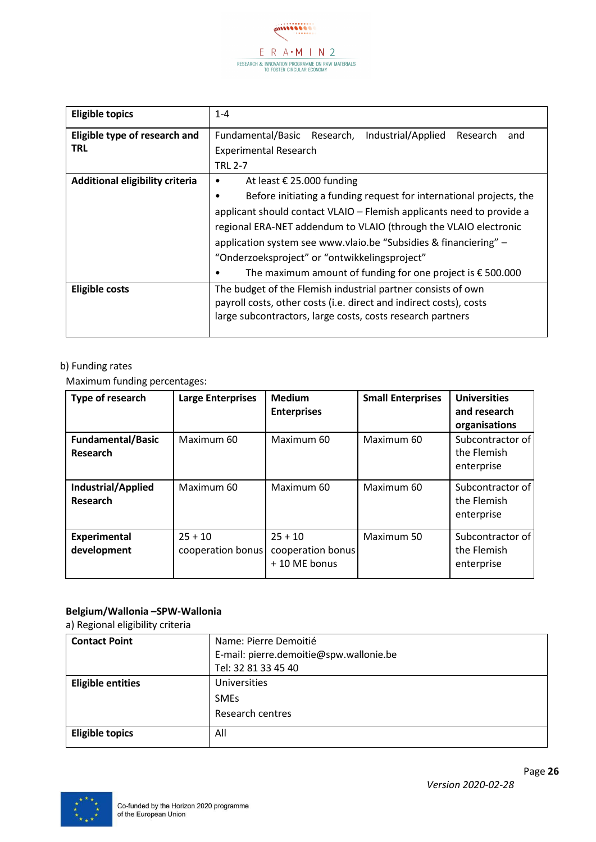

| <b>Eligible topics</b>          | $1 - 4$                                                                 |  |  |  |
|---------------------------------|-------------------------------------------------------------------------|--|--|--|
| Eligible type of research and   | Industrial/Applied<br>Fundamental/Basic<br>Research,<br>Research<br>and |  |  |  |
| TRL                             | <b>Experimental Research</b>                                            |  |  |  |
|                                 | <b>TRL 2-7</b>                                                          |  |  |  |
| Additional eligibility criteria | At least € 25.000 funding<br>٠                                          |  |  |  |
|                                 | Before initiating a funding request for international projects, the     |  |  |  |
|                                 | applicant should contact VLAIO - Flemish applicants need to provide a   |  |  |  |
|                                 | regional ERA-NET addendum to VLAIO (through the VLAIO electronic        |  |  |  |
|                                 | application system see www.vlaio.be "Subsidies & financiering" -        |  |  |  |
|                                 | "Onderzoeksproject" or "ontwikkelingsproject"                           |  |  |  |
|                                 | The maximum amount of funding for one project is $\epsilon$ 500.000     |  |  |  |
| <b>Eligible costs</b>           | The budget of the Flemish industrial partner consists of own            |  |  |  |
|                                 | payroll costs, other costs (i.e. direct and indirect costs), costs      |  |  |  |
|                                 | large subcontractors, large costs, costs research partners              |  |  |  |
|                                 |                                                                         |  |  |  |

Maximum funding percentages:

| Type of research                      | <b>Large Enterprises</b>       | <b>Medium</b><br><b>Enterprises</b>            | <b>Small Enterprises</b> | <b>Universities</b><br>and research<br>organisations |
|---------------------------------------|--------------------------------|------------------------------------------------|--------------------------|------------------------------------------------------|
| <b>Fundamental/Basic</b><br>Research  | Maximum 60                     | Maximum 60                                     | Maximum 60               | Subcontractor of<br>the Flemish<br>enterprise        |
| <b>Industrial/Applied</b><br>Research | Maximum 60                     | Maximum 60                                     | Maximum 60               | Subcontractor of<br>the Flemish<br>enterprise        |
| <b>Experimental</b><br>development    | $25 + 10$<br>cooperation bonus | $25 + 10$<br>cooperation bonus<br>+10 ME bonus | Maximum 50               | Subcontractor of<br>the Flemish<br>enterprise        |

#### **Belgium/Wallonia –SPW-Wallonia**

| <b>Contact Point</b>     | Name: Pierre Demoitié                   |
|--------------------------|-----------------------------------------|
|                          | E-mail: pierre.demoitie@spw.wallonie.be |
|                          | Tel: 32 81 33 45 40                     |
| <b>Eligible entities</b> | Universities                            |
|                          | <b>SMEs</b>                             |
|                          | Research centres                        |
| <b>Eligible topics</b>   | All                                     |

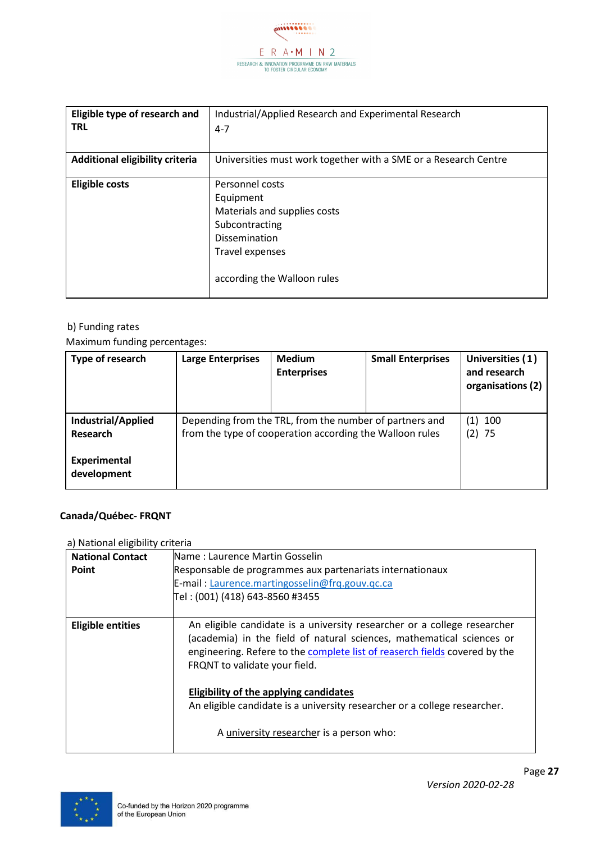

| Eligible type of research and<br><b>TRL</b> | Industrial/Applied Research and Experimental Research<br>$4 - 7$                                                                                         |
|---------------------------------------------|----------------------------------------------------------------------------------------------------------------------------------------------------------|
| Additional eligibility criteria             | Universities must work together with a SME or a Research Centre                                                                                          |
| <b>Eligible costs</b>                       | Personnel costs<br>Equipment<br>Materials and supplies costs<br>Subcontracting<br><b>Dissemination</b><br>Travel expenses<br>according the Walloon rules |

Maximum funding percentages:

| Type of research                                      | <b>Large Enterprises</b>                                                                                            | <b>Medium</b><br><b>Enterprises</b> | <b>Small Enterprises</b> | Universities (1)<br>and research<br>organisations (2) |
|-------------------------------------------------------|---------------------------------------------------------------------------------------------------------------------|-------------------------------------|--------------------------|-------------------------------------------------------|
| Industrial/Applied<br>Research<br><b>Experimental</b> | Depending from the TRL, from the number of partners and<br>from the type of cooperation according the Walloon rules |                                     | (1) 100<br>$(2)$ 75      |                                                       |
| development                                           |                                                                                                                     |                                     |                          |                                                       |

#### **Canada/Québec- FRQNT**

| <b>National Contact</b><br>Point | Name: Laurence Martin Gosselin<br>Responsable de programmes aux partenariats internationaux<br>E-mail: Laurence.martingosselin@frq.gouv.qc.ca<br>Tel : (001) (418) 643-8560 #3455                                                                                |
|----------------------------------|------------------------------------------------------------------------------------------------------------------------------------------------------------------------------------------------------------------------------------------------------------------|
| <b>Eligible entities</b>         | An eligible candidate is a university researcher or a college researcher<br>(academia) in the field of natural sciences, mathematical sciences or<br>engineering. Refere to the complete list of reaserch fields covered by the<br>FRQNT to validate your field. |
|                                  | Eligibility of the applying candidates<br>An eligible candidate is a university researcher or a college researcher.<br>A university researcher is a person who:                                                                                                  |

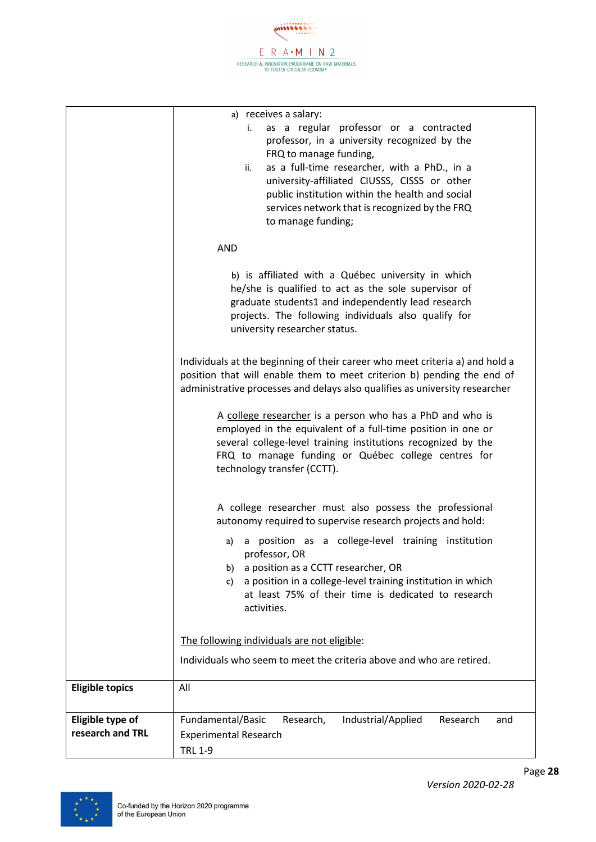

|                        | a) receives a salary:                                                        |
|------------------------|------------------------------------------------------------------------------|
|                        | as a regular professor or a contracted<br>i.                                 |
|                        | professor, in a university recognized by the                                 |
|                        | FRQ to manage funding,                                                       |
|                        | as a full-time researcher, with a PhD., in a<br>ii.                          |
|                        | university-affiliated CIUSSS, CISSS or other                                 |
|                        | public institution within the health and social                              |
|                        | services network that is recognized by the FRQ                               |
|                        | to manage funding;                                                           |
|                        |                                                                              |
|                        | <b>AND</b>                                                                   |
|                        |                                                                              |
|                        |                                                                              |
|                        | b) is affiliated with a Québec university in which                           |
|                        | he/she is qualified to act as the sole supervisor of                         |
|                        | graduate students1 and independently lead research                           |
|                        | projects. The following individuals also qualify for                         |
|                        | university researcher status.                                                |
|                        |                                                                              |
|                        | Individuals at the beginning of their career who meet criteria a) and hold a |
|                        | position that will enable them to meet criterion b) pending the end of       |
|                        | administrative processes and delays also qualifies as university researcher  |
|                        |                                                                              |
|                        | A college researcher is a person who has a PhD and who is                    |
|                        | employed in the equivalent of a full-time position in one or                 |
|                        | several college-level training institutions recognized by the                |
|                        |                                                                              |
|                        | FRQ to manage funding or Québec college centres for                          |
|                        | technology transfer (CCTT).                                                  |
|                        |                                                                              |
|                        | A college researcher must also possess the professional                      |
|                        |                                                                              |
|                        | autonomy required to supervise research projects and hold:                   |
|                        | a position as a college-level training institution<br>a)                     |
|                        | professor, OR                                                                |
|                        | a position as a CCTT researcher, OR<br>b)                                    |
|                        | a position in a college-level training institution in which<br>c)            |
|                        | at least 75% of their time is dedicated to research                          |
|                        | activities.                                                                  |
|                        |                                                                              |
|                        |                                                                              |
|                        | The following individuals are not eligible:                                  |
|                        | Individuals who seem to meet the criteria above and who are retired.         |
|                        |                                                                              |
| <b>Eligible topics</b> | All                                                                          |
|                        |                                                                              |
|                        |                                                                              |
| Eligible type of       | Fundamental/Basic<br>Research,<br>Industrial/Applied<br>Research<br>and      |
| research and TRL       | <b>Experimental Research</b>                                                 |
|                        | <b>TRL 1-9</b>                                                               |
|                        |                                                                              |

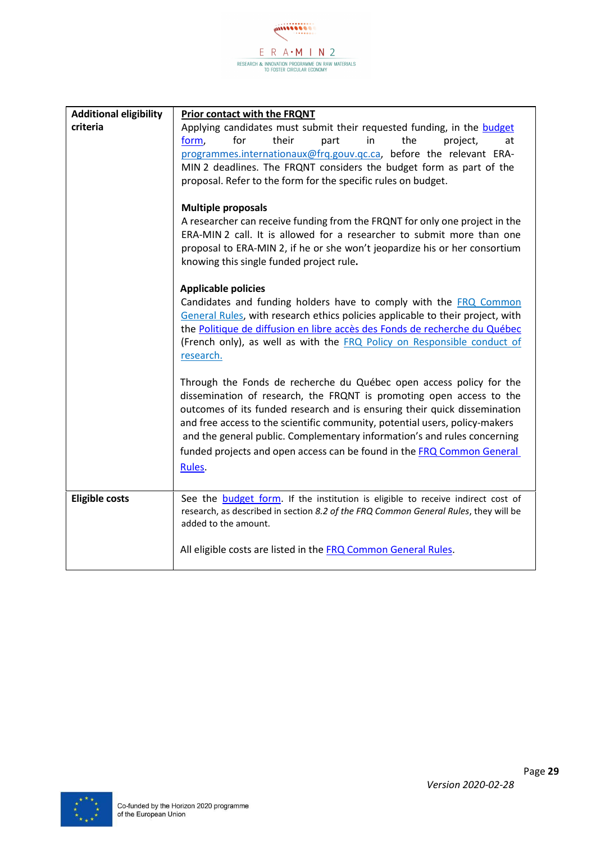$\mathcal{L}$  $\begin{array}{cc} \quad E\quad R\quad A\bullet M\quad I\quad N\ \ 2\quad \quad \\ \quad\text{researche}\xspace & \text{innovation procedure on raw materials} \quad \\ \quad\text{to foster circular contour} \end{array}$ 

| <b>Additional eligibility</b> | <b>Prior contact with the FRQNT</b>                                                                                                                                                                                                                                                                                                                                                                                                                                     |  |
|-------------------------------|-------------------------------------------------------------------------------------------------------------------------------------------------------------------------------------------------------------------------------------------------------------------------------------------------------------------------------------------------------------------------------------------------------------------------------------------------------------------------|--|
| criteria                      | Applying candidates must submit their requested funding, in the budget                                                                                                                                                                                                                                                                                                                                                                                                  |  |
|                               | for<br>their<br>in<br>the<br>form,<br>part<br>project,<br>at<br>programmes.internationaux@frq.gouv.qc.ca, before the relevant ERA-<br>MIN 2 deadlines. The FRQNT considers the budget form as part of the<br>proposal. Refer to the form for the specific rules on budget.                                                                                                                                                                                              |  |
|                               | <b>Multiple proposals</b><br>A researcher can receive funding from the FRQNT for only one project in the<br>ERA-MIN 2 call. It is allowed for a researcher to submit more than one<br>proposal to ERA-MIN 2, if he or she won't jeopardize his or her consortium<br>knowing this single funded project rule.                                                                                                                                                            |  |
|                               | <b>Applicable policies</b><br>Candidates and funding holders have to comply with the FRQ Common<br>General Rules, with research ethics policies applicable to their project, with<br>the Politique de diffusion en libre accès des Fonds de recherche du Québec<br>(French only), as well as with the FRQ Policy on Responsible conduct of<br>research.                                                                                                                 |  |
|                               | Through the Fonds de recherche du Québec open access policy for the<br>dissemination of research, the FRQNT is promoting open access to the<br>outcomes of its funded research and is ensuring their quick dissemination<br>and free access to the scientific community, potential users, policy-makers<br>and the general public. Complementary information's and rules concerning<br>funded projects and open access can be found in the FRQ Common General<br>Rules. |  |
| <b>Eligible costs</b>         | See the <b>budget form</b> . If the institution is eligible to receive indirect cost of<br>research, as described in section 8.2 of the FRQ Common General Rules, they will be<br>added to the amount.                                                                                                                                                                                                                                                                  |  |
|                               | All eligible costs are listed in the FRQ Common General Rules.                                                                                                                                                                                                                                                                                                                                                                                                          |  |

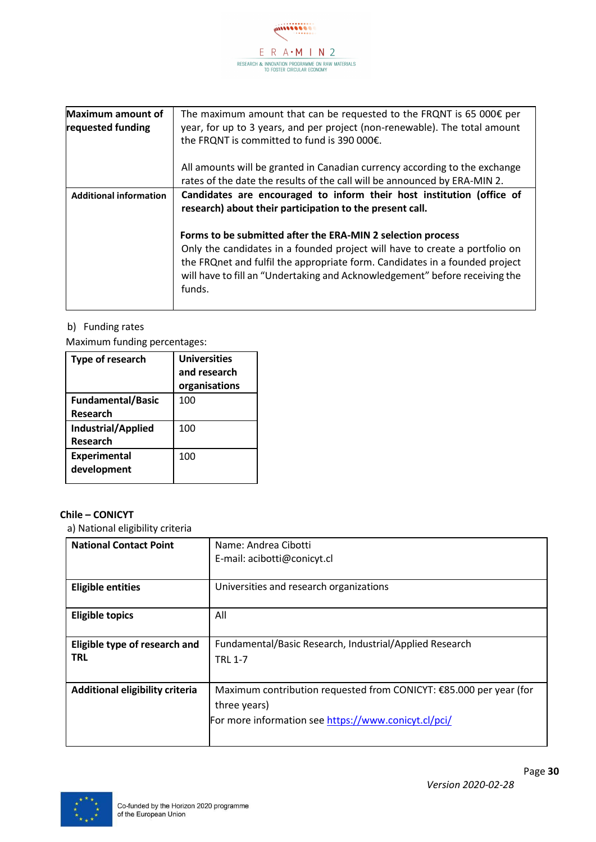

| <b>Maximum amount of</b><br>requested funding | The maximum amount that can be requested to the FRQNT is 65 000 $\epsilon$ per<br>year, for up to 3 years, and per project (non-renewable). The total amount<br>the FRQNT is committed to fund is 390 000€.                                                                                                        |  |
|-----------------------------------------------|--------------------------------------------------------------------------------------------------------------------------------------------------------------------------------------------------------------------------------------------------------------------------------------------------------------------|--|
|                                               | All amounts will be granted in Canadian currency according to the exchange<br>rates of the date the results of the call will be announced by ERA-MIN 2.                                                                                                                                                            |  |
| <b>Additional information</b>                 | Candidates are encouraged to inform their host institution (office of<br>research) about their participation to the present call.                                                                                                                                                                                  |  |
|                                               | Forms to be submitted after the ERA-MIN 2 selection process<br>Only the candidates in a founded project will have to create a portfolio on<br>the FRQnet and fulfil the appropriate form. Candidates in a founded project<br>will have to fill an "Undertaking and Acknowledgement" before receiving the<br>funds. |  |

Maximum funding percentages:

| Type of research                      | <b>Universities</b><br>and research<br>organisations |
|---------------------------------------|------------------------------------------------------|
| <b>Fundamental/Basic</b><br>Research  | 100                                                  |
| <b>Industrial/Applied</b><br>Research | 100                                                  |
| <b>Experimental</b><br>development    | 100                                                  |

#### **Chile – CONICYT**

| <b>National Contact Point</b>          | Name: Andrea Cibotti                                               |
|----------------------------------------|--------------------------------------------------------------------|
|                                        | E-mail: acibotti@conicyt.cl                                        |
|                                        |                                                                    |
| <b>Eligible entities</b>               | Universities and research organizations                            |
|                                        |                                                                    |
| <b>Eligible topics</b>                 | All                                                                |
|                                        |                                                                    |
| Eligible type of research and          | Fundamental/Basic Research, Industrial/Applied Research            |
| <b>TRL</b>                             | <b>TRL 1-7</b>                                                     |
|                                        |                                                                    |
|                                        |                                                                    |
| <b>Additional eligibility criteria</b> | Maximum contribution requested from CONICYT: €85.000 per year (for |
|                                        | three years)                                                       |
|                                        | For more information see https://www.conicyt.cl/pci/               |
|                                        |                                                                    |
|                                        |                                                                    |

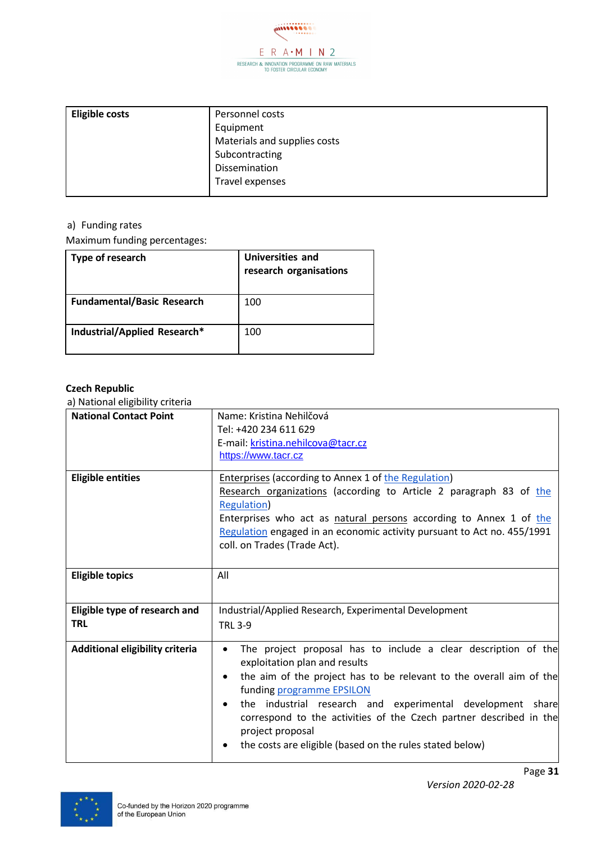

| <b>Eligible costs</b> | Personnel costs              |
|-----------------------|------------------------------|
|                       | Equipment                    |
|                       | Materials and supplies costs |
|                       | Subcontracting               |
|                       | <b>Dissemination</b>         |
|                       | Travel expenses              |
|                       |                              |

Maximum funding percentages:

| Type of research                  | Universities and<br>research organisations |
|-----------------------------------|--------------------------------------------|
| <b>Fundamental/Basic Research</b> | 100                                        |
| Industrial/Applied Research*      | 100                                        |

#### **Czech Republic**

| a) wational ciigibility tritchia |                                                                                                                                                                   |
|----------------------------------|-------------------------------------------------------------------------------------------------------------------------------------------------------------------|
| <b>National Contact Point</b>    | Name: Kristina Nehilčová<br>Tel: +420 234 611 629                                                                                                                 |
|                                  | E-mail: kristina.nehilcova@tacr.cz                                                                                                                                |
|                                  | https://www.tacr.cz                                                                                                                                               |
|                                  |                                                                                                                                                                   |
| <b>Eligible entities</b>         | <b>Enterprises (according to Annex 1 of the Regulation)</b>                                                                                                       |
|                                  | Research organizations (according to Article 2 paragraph 83 of the                                                                                                |
|                                  | <b>Regulation</b> )                                                                                                                                               |
|                                  | Enterprises who act as natural persons according to Annex 1 of the                                                                                                |
|                                  | Regulation engaged in an economic activity pursuant to Act no. 455/1991                                                                                           |
|                                  | coll. on Trades (Trade Act).                                                                                                                                      |
|                                  |                                                                                                                                                                   |
| <b>Eligible topics</b>           | All                                                                                                                                                               |
|                                  |                                                                                                                                                                   |
| Eligible type of research and    | Industrial/Applied Research, Experimental Development                                                                                                             |
| <b>TRL</b>                       | <b>TRL 3-9</b>                                                                                                                                                    |
|                                  |                                                                                                                                                                   |
| Additional eligibility criteria  | The project proposal has to include a clear description of the<br>exploitation plan and results                                                                   |
|                                  | the aim of the project has to be relevant to the overall aim of the<br>$\bullet$<br>funding programme EPSILON                                                     |
|                                  | the industrial research and experimental development share<br>$\bullet$<br>correspond to the activities of the Czech partner described in the<br>project proposal |
|                                  | the costs are eligible (based on the rules stated below)                                                                                                          |

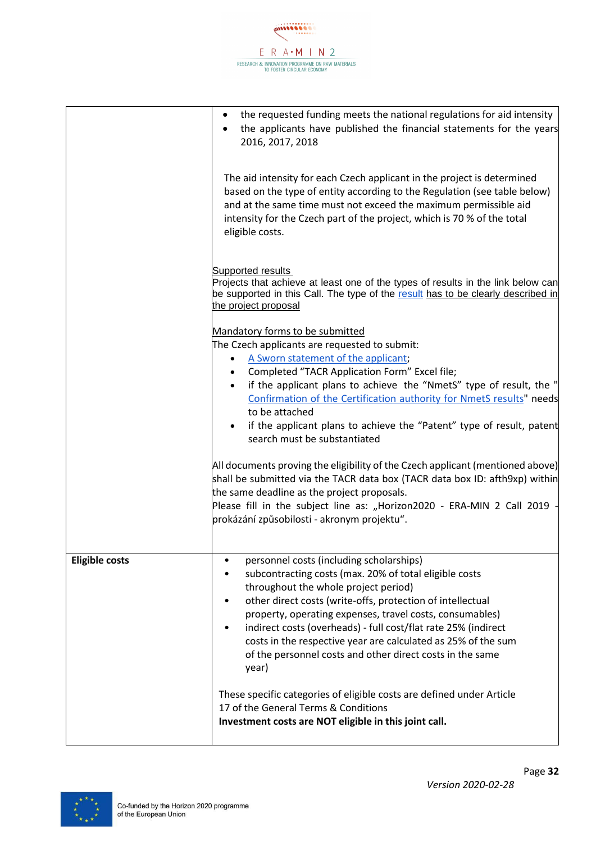

|                       | the requested funding meets the national regulations for aid intensity<br>the applicants have published the financial statements for the years<br>2016, 2017, 2018                                                                                                                                                                                                                                                                                                                              |
|-----------------------|-------------------------------------------------------------------------------------------------------------------------------------------------------------------------------------------------------------------------------------------------------------------------------------------------------------------------------------------------------------------------------------------------------------------------------------------------------------------------------------------------|
|                       | The aid intensity for each Czech applicant in the project is determined<br>based on the type of entity according to the Regulation (see table below)<br>and at the same time must not exceed the maximum permissible aid<br>intensity for the Czech part of the project, which is 70 % of the total<br>eligible costs.                                                                                                                                                                          |
|                       | <b>Supported results</b><br>Projects that achieve at least one of the types of results in the link below can<br>be supported in this Call. The type of the result has to be clearly described in<br>the project proposal                                                                                                                                                                                                                                                                        |
|                       | Mandatory forms to be submitted                                                                                                                                                                                                                                                                                                                                                                                                                                                                 |
|                       | The Czech applicants are requested to submit:                                                                                                                                                                                                                                                                                                                                                                                                                                                   |
|                       | A Sworn statement of the applicant;                                                                                                                                                                                                                                                                                                                                                                                                                                                             |
|                       | Completed "TACR Application Form" Excel file;<br>if the applicant plans to achieve the "NmetS" type of result, the "                                                                                                                                                                                                                                                                                                                                                                            |
|                       | Confirmation of the Certification authority for NmetS results" needs<br>to be attached                                                                                                                                                                                                                                                                                                                                                                                                          |
|                       | if the applicant plans to achieve the "Patent" type of result, patent<br>search must be substantiated                                                                                                                                                                                                                                                                                                                                                                                           |
|                       | All documents proving the eligibility of the Czech applicant (mentioned above)<br>shall be submitted via the TACR data box (TACR data box ID: afth9xp) within<br>the same deadline as the project proposals.                                                                                                                                                                                                                                                                                    |
|                       | Please fill in the subject line as: "Horizon2020 - ERA-MIN 2 Call 2019<br>prokázání způsobilosti - akronym projektu".                                                                                                                                                                                                                                                                                                                                                                           |
| <b>Eligible costs</b> | personnel costs (including scholarships)<br>$\bullet$<br>subcontracting costs (max. 20% of total eligible costs<br>throughout the whole project period)<br>other direct costs (write-offs, protection of intellectual<br>property, operating expenses, travel costs, consumables)<br>indirect costs (overheads) - full cost/flat rate 25% (indirect<br>٠<br>costs in the respective year are calculated as 25% of the sum<br>of the personnel costs and other direct costs in the same<br>year) |
|                       | These specific categories of eligible costs are defined under Article<br>17 of the General Terms & Conditions<br>Investment costs are NOT eligible in this joint call.                                                                                                                                                                                                                                                                                                                          |

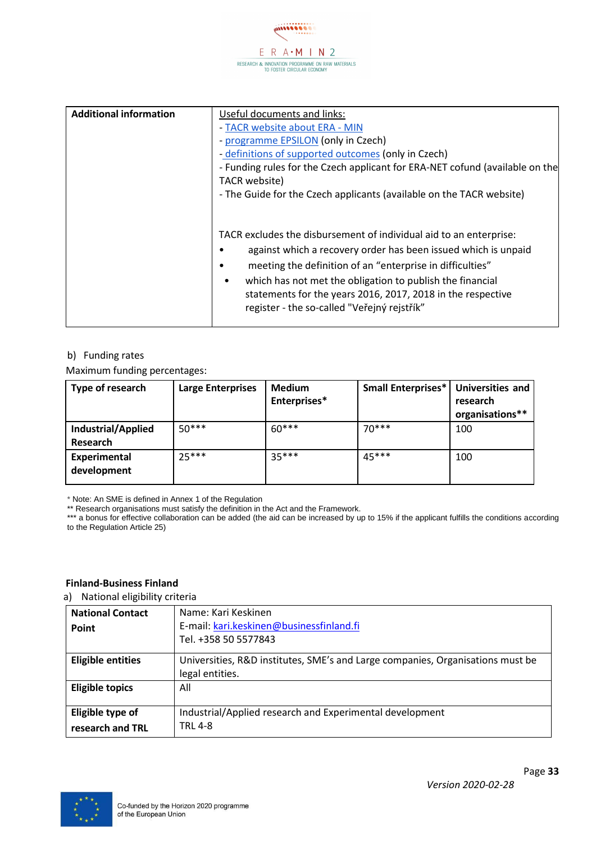

| <b>Additional information</b> | Useful documents and links:<br>- TACR website about ERA - MIN<br>- programme EPSILON (only in Czech)<br>- definitions of supported outcomes (only in Czech)<br>- Funding rules for the Czech applicant for ERA-NET cofund (available on the<br>TACR website)                                                                                                                                                                                              |
|-------------------------------|-----------------------------------------------------------------------------------------------------------------------------------------------------------------------------------------------------------------------------------------------------------------------------------------------------------------------------------------------------------------------------------------------------------------------------------------------------------|
|                               | - The Guide for the Czech applicants (available on the TACR website)<br>TACR excludes the disbursement of individual aid to an enterprise:<br>against which a recovery order has been issued which is unpaid<br>meeting the definition of an "enterprise in difficulties"<br>which has not met the obligation to publish the financial<br>٠<br>statements for the years 2016, 2017, 2018 in the respective<br>register - the so-called "Veřejný rejstřík" |

Maximum funding percentages:

| Type of research                   | <b>Large Enterprises</b> | <b>Medium</b><br>Enterprises* | <b>Small Enterprises*</b> | <b>Universities and</b><br>research<br>organisations** |
|------------------------------------|--------------------------|-------------------------------|---------------------------|--------------------------------------------------------|
| Industrial/Applied<br>Research     | $50***$                  | $60***$                       | $70***$                   | 100                                                    |
| <b>Experimental</b><br>development | $25***$                  | $35***$                       | $45***$                   | 100                                                    |

\* Note: An SME is defined in Annex 1 of the Regulation

\*\* Research organisations must satisfy the definition in the Act and the Framework.

\*\*\* a bonus for effective collaboration can be added (the aid can be increased by up to 15% if the applicant fulfills the conditions according to the Regulation Article 25)

#### **Finland-Business Finland**

| <b>National Contact</b><br>Point     | Name: Kari Keskinen<br>E-mail: kari.keskinen@businessfinland.fi<br>Tel. +358 50 5577843           |
|--------------------------------------|---------------------------------------------------------------------------------------------------|
| <b>Eligible entities</b>             | Universities, R&D institutes, SME's and Large companies, Organisations must be<br>legal entities. |
| <b>Eligible topics</b>               | All                                                                                               |
| Eligible type of<br>research and TRL | Industrial/Applied research and Experimental development<br><b>TRL 4-8</b>                        |

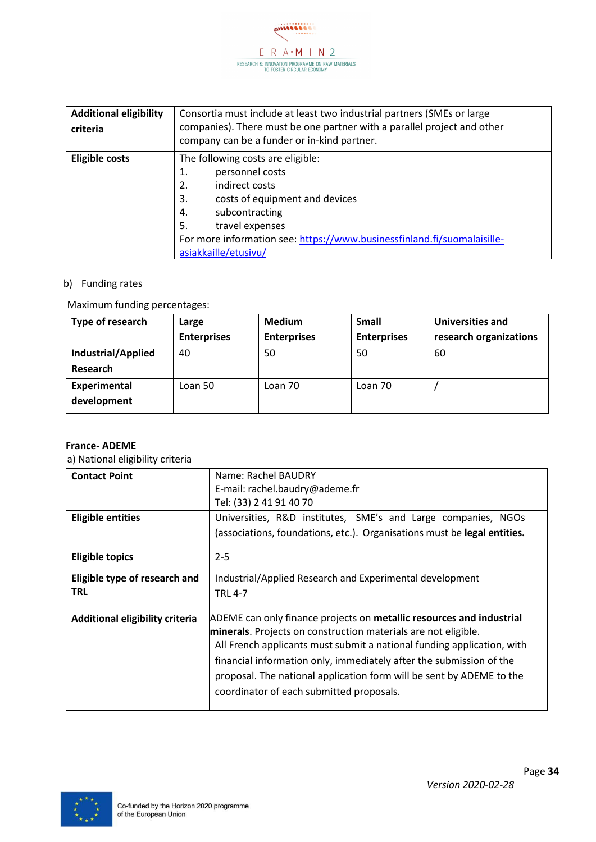

| <b>Additional eligibility</b><br>criteria | Consortia must include at least two industrial partners (SMEs or large<br>companies). There must be one partner with a parallel project and other<br>company can be a funder or in-kind partner.                                                                               |  |
|-------------------------------------------|--------------------------------------------------------------------------------------------------------------------------------------------------------------------------------------------------------------------------------------------------------------------------------|--|
| <b>Eligible costs</b>                     | The following costs are eligible:<br>personnel costs<br>1.<br>indirect costs<br>2.<br>costs of equipment and devices<br>3.<br>subcontracting<br>4.<br>travel expenses<br>5.<br>For more information see: https://www.businessfinland.fi/suomalaisille-<br>asiakkaille/etusivu/ |  |

#### Maximum funding percentages:

| Type of research   | Large              | <b>Medium</b>      | <b>Small</b>       | Universities and       |
|--------------------|--------------------|--------------------|--------------------|------------------------|
|                    | <b>Enterprises</b> | <b>Enterprises</b> | <b>Enterprises</b> | research organizations |
| Industrial/Applied | 40                 | 50                 | 50                 | 60                     |
| Research           |                    |                    |                    |                        |
| Experimental       | Loan 50            | Loan 70            | Loan 70            |                        |
| development        |                    |                    |                    |                        |

#### **France- ADEME**

| <b>Contact Point</b>            | Name: Rachel BAUDRY<br>E-mail: rachel.baudry@ademe.fr                                                                                                                                                                                                                                                                                                                                                       |
|---------------------------------|-------------------------------------------------------------------------------------------------------------------------------------------------------------------------------------------------------------------------------------------------------------------------------------------------------------------------------------------------------------------------------------------------------------|
|                                 | Tel: (33) 2 41 91 40 70                                                                                                                                                                                                                                                                                                                                                                                     |
| <b>Eligible entities</b>        | Universities, R&D institutes, SME's and Large companies, NGOs                                                                                                                                                                                                                                                                                                                                               |
|                                 | (associations, foundations, etc.). Organisations must be legal entities.                                                                                                                                                                                                                                                                                                                                    |
| <b>Eligible topics</b>          | $2 - 5$                                                                                                                                                                                                                                                                                                                                                                                                     |
| Eligible type of research and   | Industrial/Applied Research and Experimental development                                                                                                                                                                                                                                                                                                                                                    |
| <b>TRL</b>                      | <b>TRL 4-7</b>                                                                                                                                                                                                                                                                                                                                                                                              |
| Additional eligibility criteria | ADEME can only finance projects on metallic resources and industrial<br>minerals. Projects on construction materials are not eligible.<br>All French applicants must submit a national funding application, with<br>financial information only, immediately after the submission of the<br>proposal. The national application form will be sent by ADEME to the<br>coordinator of each submitted proposals. |

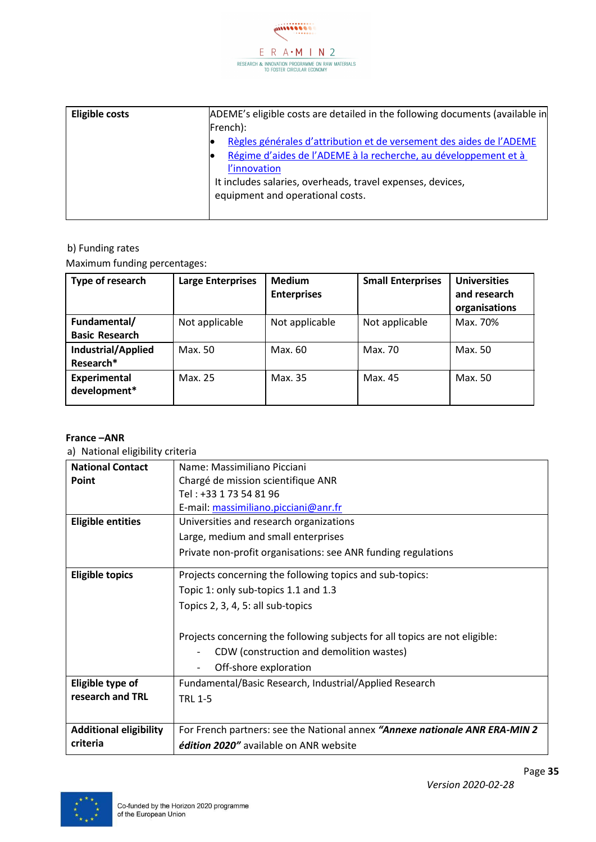

| <b>Eligible costs</b> | ADEME's eligible costs are detailed in the following documents (available in |  |  |
|-----------------------|------------------------------------------------------------------------------|--|--|
|                       | French):                                                                     |  |  |
|                       | Règles générales d'attribution et de versement des aides de l'ADEME          |  |  |
|                       | Régime d'aides de l'ADEME à la recherche, au développement et à              |  |  |
|                       | l'innovation                                                                 |  |  |
|                       | It includes salaries, overheads, travel expenses, devices,                   |  |  |
|                       | equipment and operational costs.                                             |  |  |
|                       |                                                                              |  |  |

Maximum funding percentages:

| Type of research                      | <b>Large Enterprises</b> | <b>Medium</b><br><b>Enterprises</b> | <b>Small Enterprises</b> | <b>Universities</b><br>and research<br>organisations |
|---------------------------------------|--------------------------|-------------------------------------|--------------------------|------------------------------------------------------|
| Fundamental/<br><b>Basic Research</b> | Not applicable           | Not applicable                      | Not applicable           | Max. 70%                                             |
| Industrial/Applied<br>Research*       | Max. 50                  | Max. 60                             | Max. 70                  | Max. 50                                              |
| Experimental<br>development*          | Max. 25                  | Max. 35                             | Max. 45                  | Max. 50                                              |

#### **France –ANR**

| <b>National Contact</b>       | Name: Massimiliano Picciani                                                                                             |
|-------------------------------|-------------------------------------------------------------------------------------------------------------------------|
| <b>Point</b>                  | Chargé de mission scientifique ANR                                                                                      |
|                               | Tel: +33 1 73 54 81 96                                                                                                  |
|                               | E-mail: massimiliano.picciani@anr.fr                                                                                    |
| <b>Eligible entities</b>      | Universities and research organizations                                                                                 |
|                               | Large, medium and small enterprises                                                                                     |
|                               | Private non-profit organisations: see ANR funding regulations                                                           |
| <b>Eligible topics</b>        | Projects concerning the following topics and sub-topics:                                                                |
|                               | Topic 1: only sub-topics 1.1 and 1.3                                                                                    |
|                               | Topics 2, 3, 4, 5: all sub-topics                                                                                       |
|                               | Projects concerning the following subjects for all topics are not eligible:<br>CDW (construction and demolition wastes) |
|                               | Off-shore exploration                                                                                                   |
| Eligible type of              | Fundamental/Basic Research, Industrial/Applied Research                                                                 |
| research and TRL              | <b>TRL 1-5</b>                                                                                                          |
|                               |                                                                                                                         |
| <b>Additional eligibility</b> | For French partners: see the National annex "Annexe nationale ANR ERA-MIN 2                                             |
| criteria                      | édition 2020" available on ANR website                                                                                  |

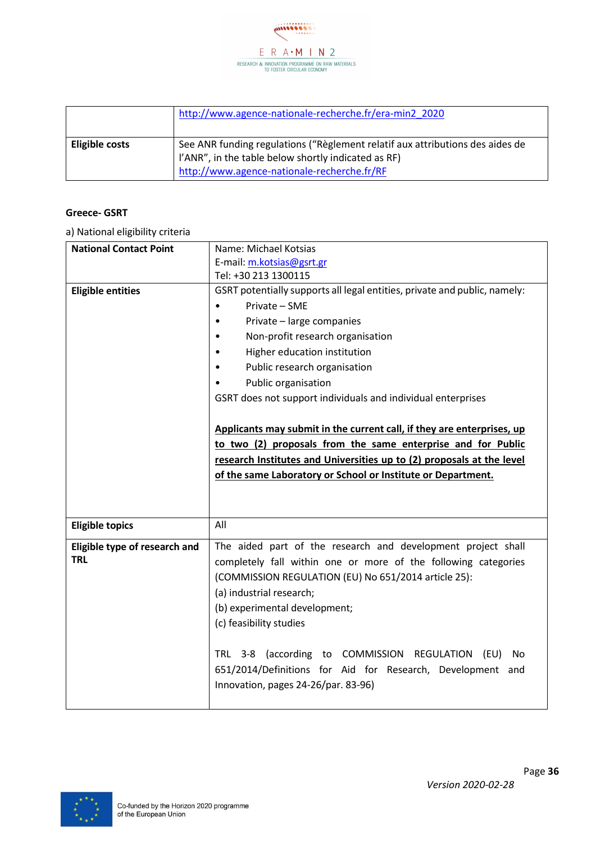

|                | http://www.agence-nationale-recherche.fr/era-min2 2020                        |
|----------------|-------------------------------------------------------------------------------|
| Eligible costs | See ANR funding regulations ("Règlement relatif aux attributions des aides de |
|                | I'ANR", in the table below shortly indicated as RF)                           |
|                | http://www.agence-nationale-recherche.fr/RF                                   |

#### **Greece- GSRT**

| <b>National Contact Point</b> | Name: Michael Kotsias                                                     |  |  |
|-------------------------------|---------------------------------------------------------------------------|--|--|
|                               | E-mail: m.kotsias@gsrt.gr                                                 |  |  |
|                               | Tel: +30 213 1300115                                                      |  |  |
| <b>Eligible entities</b>      | GSRT potentially supports all legal entities, private and public, namely: |  |  |
|                               | Private - SME<br>$\bullet$                                                |  |  |
|                               | Private - large companies                                                 |  |  |
|                               | Non-profit research organisation<br>$\bullet$                             |  |  |
|                               | Higher education institution<br>$\bullet$                                 |  |  |
|                               | Public research organisation                                              |  |  |
|                               | Public organisation                                                       |  |  |
|                               | GSRT does not support individuals and individual enterprises              |  |  |
|                               |                                                                           |  |  |
|                               | Applicants may submit in the current call, if they are enterprises, up    |  |  |
|                               | to two (2) proposals from the same enterprise and for Public              |  |  |
|                               | research Institutes and Universities up to (2) proposals at the level     |  |  |
|                               | of the same Laboratory or School or Institute or Department.              |  |  |
|                               |                                                                           |  |  |
|                               |                                                                           |  |  |
|                               |                                                                           |  |  |
|                               |                                                                           |  |  |
| <b>Eligible topics</b>        | All                                                                       |  |  |
| Eligible type of research and | The aided part of the research and development project shall              |  |  |
| <b>TRL</b>                    | completely fall within one or more of the following categories            |  |  |
|                               | (COMMISSION REGULATION (EU) No 651/2014 article 25):                      |  |  |
|                               | (a) industrial research;                                                  |  |  |
|                               | (b) experimental development;                                             |  |  |
|                               | (c) feasibility studies                                                   |  |  |
|                               |                                                                           |  |  |
|                               | TRL 3-8 (according to COMMISSION<br><b>REGULATION</b><br>(EU)<br>No       |  |  |
|                               | 651/2014/Definitions for Aid for Research, Development and                |  |  |
|                               | Innovation, pages 24-26/par. 83-96)                                       |  |  |

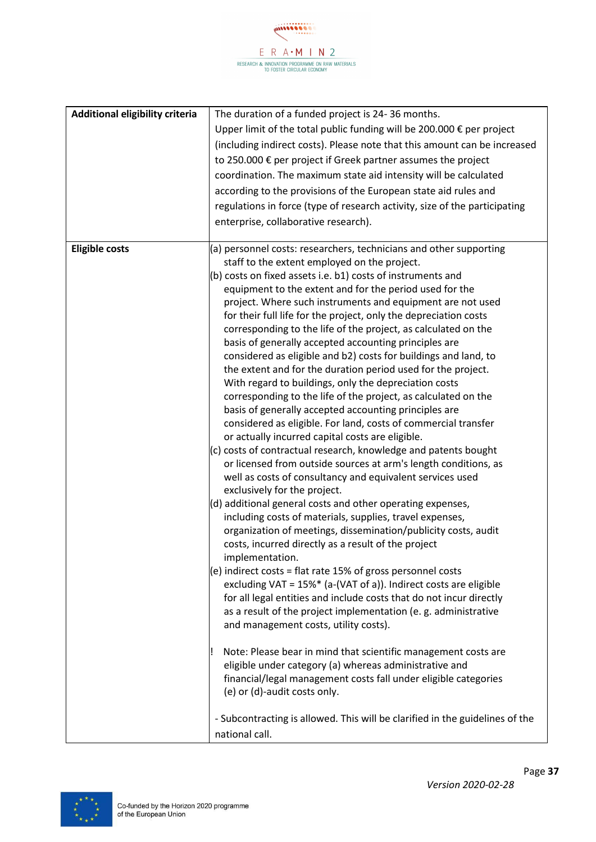

| Additional eligibility criteria | The duration of a funded project is 24-36 months.                                                                              |
|---------------------------------|--------------------------------------------------------------------------------------------------------------------------------|
|                                 | Upper limit of the total public funding will be 200.000 € per project                                                          |
|                                 | (including indirect costs). Please note that this amount can be increased                                                      |
|                                 | to 250.000 € per project if Greek partner assumes the project                                                                  |
|                                 |                                                                                                                                |
|                                 | coordination. The maximum state aid intensity will be calculated                                                               |
|                                 | according to the provisions of the European state aid rules and                                                                |
|                                 | regulations in force (type of research activity, size of the participating                                                     |
|                                 | enterprise, collaborative research).                                                                                           |
|                                 |                                                                                                                                |
| <b>Eligible costs</b>           | (a) personnel costs: researchers, technicians and other supporting                                                             |
|                                 | staff to the extent employed on the project.                                                                                   |
|                                 | (b) costs on fixed assets i.e. b1) costs of instruments and                                                                    |
|                                 | equipment to the extent and for the period used for the                                                                        |
|                                 | project. Where such instruments and equipment are not used<br>for their full life for the project, only the depreciation costs |
|                                 | corresponding to the life of the project, as calculated on the                                                                 |
|                                 | basis of generally accepted accounting principles are                                                                          |
|                                 | considered as eligible and b2) costs for buildings and land, to                                                                |
|                                 | the extent and for the duration period used for the project.                                                                   |
|                                 | With regard to buildings, only the depreciation costs                                                                          |
|                                 | corresponding to the life of the project, as calculated on the                                                                 |
|                                 | basis of generally accepted accounting principles are                                                                          |
|                                 | considered as eligible. For land, costs of commercial transfer                                                                 |
|                                 | or actually incurred capital costs are eligible.                                                                               |
|                                 | (c) costs of contractual research, knowledge and patents bought                                                                |
|                                 | or licensed from outside sources at arm's length conditions, as                                                                |
|                                 | well as costs of consultancy and equivalent services used                                                                      |
|                                 | exclusively for the project.                                                                                                   |
|                                 | (d) additional general costs and other operating expenses,                                                                     |
|                                 | including costs of materials, supplies, travel expenses,                                                                       |
|                                 | organization of meetings, dissemination/publicity costs, audit                                                                 |
|                                 | costs, incurred directly as a result of the project                                                                            |
|                                 | implementation.                                                                                                                |
|                                 | (e) indirect costs = flat rate 15% of gross personnel costs                                                                    |
|                                 | excluding VAT = 15%* (a-(VAT of a)). Indirect costs are eligible                                                               |
|                                 | for all legal entities and include costs that do not incur directly                                                            |
|                                 | as a result of the project implementation (e. g. administrative<br>and management costs, utility costs).                       |
|                                 |                                                                                                                                |
|                                 | Note: Please bear in mind that scientific management costs are                                                                 |
|                                 | eligible under category (a) whereas administrative and                                                                         |
|                                 | financial/legal management costs fall under eligible categories                                                                |
|                                 | (e) or (d)-audit costs only.                                                                                                   |
|                                 |                                                                                                                                |
|                                 | - Subcontracting is allowed. This will be clarified in the guidelines of the                                                   |
|                                 | national call.                                                                                                                 |

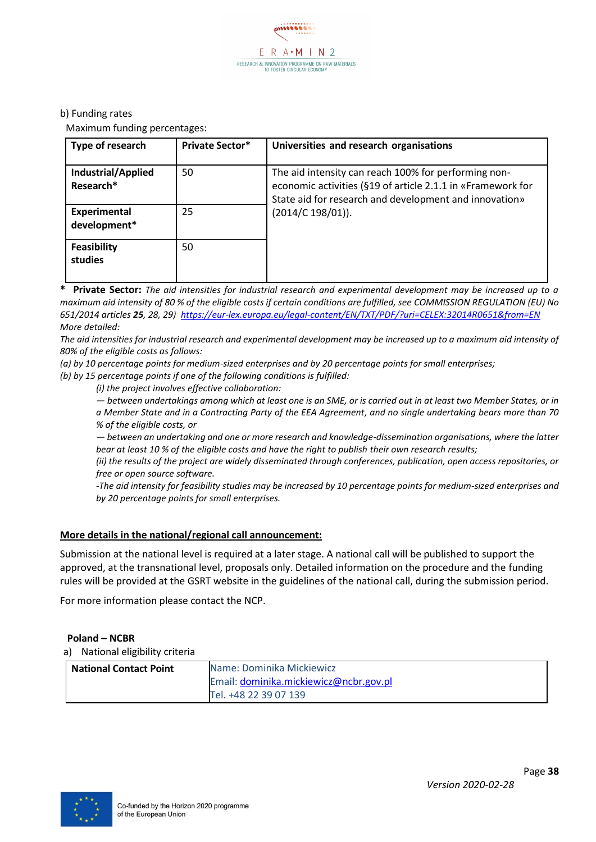

Maximum funding percentages:

| Type of research                | <b>Private Sector*</b> | Universities and research organisations                                                                                                                                       |
|---------------------------------|------------------------|-------------------------------------------------------------------------------------------------------------------------------------------------------------------------------|
| Industrial/Applied<br>Research* | 50                     | The aid intensity can reach 100% for performing non-<br>economic activities (§19 of article 2.1.1 in «Framework for<br>State aid for research and development and innovation» |
| Experimental<br>development*    | 25                     | $(2014/C 198/01)$ ).                                                                                                                                                          |
| Feasibility<br>studies          | 50                     |                                                                                                                                                                               |

**\* Private Sector:** *The aid intensities for industrial research and experimental development may be increased up to a maximum aid intensity of 80 % of the eligible costs if certain conditions are fulfilled, see COMMISSION REGULATION (EU) No 651/2014 articles 25, 28, 29)<https://eur-lex.europa.eu/legal-content/EN/TXT/PDF/?uri=CELEX:32014R0651&from=EN> More detailed:*

*The aid intensities for industrial research and experimental development may be increased up to a maximum aid intensity of 80% of the eligible costs as follows:*

*(a) by 10 percentage points for medium-sized enterprises and by 20 percentage points for small enterprises;*

*(b) by 15 percentage points if one of the following conditions is fulfilled:*

*(i) the project involves effective collaboration:*

*— between undertakings among which at least one is an SME, or is carried out in at least two Member States, or in a Member State and in a Contracting Party of the EEA Agreement, and no single undertaking bears more than 70 % of the eligible costs, or*

*— between an undertaking and one or more research and knowledge-dissemination organisations, where the latter bear at least 10 % of the eligible costs and have the right to publish their own research results;*

*(ii) the results of the project are widely disseminated through conferences, publication, open access repositories, or free or open source software.*

*-The aid intensity for feasibility studies may be increased by 10 percentage points for medium-sized enterprises and by 20 percentage points for small enterprises.*

#### **More details in the national/regional call announcement:**

Submission at the national level is required at a later stage. A national call will be published to support the approved, at the transnational level, proposals only. Detailed information on the procedure and the funding rules will be provided at the GSRT website in the guidelines of the national call, during the submission period.

For more information please contact the NCP.

#### **Poland – NCBR**

| <b>National Contact Point</b> | Name: Dominika Mickiewicz              |
|-------------------------------|----------------------------------------|
|                               | Email: dominika.mickiewicz@ncbr.gov.pl |
|                               | Tel. +48 22 39 07 139                  |

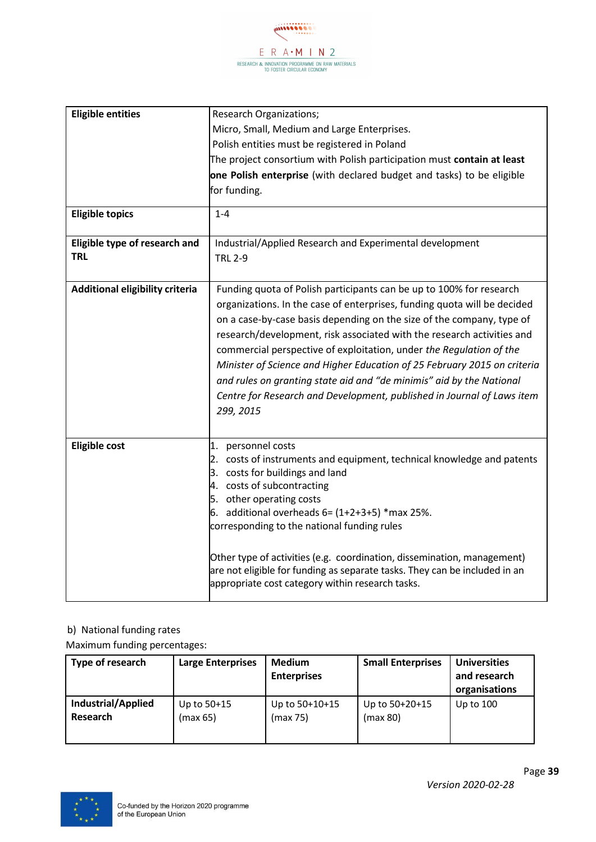

| <b>Eligible entities</b>                    | Research Organizations;                                                                          |
|---------------------------------------------|--------------------------------------------------------------------------------------------------|
|                                             | Micro, Small, Medium and Large Enterprises.                                                      |
|                                             | Polish entities must be registered in Poland                                                     |
|                                             | The project consortium with Polish participation must contain at least                           |
|                                             | one Polish enterprise (with declared budget and tasks) to be eligible                            |
|                                             | for funding.                                                                                     |
|                                             |                                                                                                  |
| <b>Eligible topics</b>                      | $1 - 4$                                                                                          |
|                                             |                                                                                                  |
| Eligible type of research and<br><b>TRL</b> | Industrial/Applied Research and Experimental development                                         |
|                                             | <b>TRL 2-9</b>                                                                                   |
| Additional eligibility criteria             | Funding quota of Polish participants can be up to 100% for research                              |
|                                             | organizations. In the case of enterprises, funding quota will be decided                         |
|                                             |                                                                                                  |
|                                             | on a case-by-case basis depending on the size of the company, type of                            |
|                                             | research/development, risk associated with the research activities and                           |
|                                             | commercial perspective of exploitation, under the Regulation of the                              |
|                                             | Minister of Science and Higher Education of 25 February 2015 on criteria                         |
|                                             | and rules on granting state aid and "de minimis" aid by the National                             |
|                                             | Centre for Research and Development, published in Journal of Laws item                           |
|                                             | 299, 2015                                                                                        |
|                                             |                                                                                                  |
| <b>Eligible cost</b>                        | 1. personnel costs                                                                               |
|                                             | 2. costs of instruments and equipment, technical knowledge and patents                           |
|                                             | 3. costs for buildings and land                                                                  |
|                                             | 4. costs of subcontracting                                                                       |
|                                             | 5. other operating costs                                                                         |
|                                             | 6. additional overheads $6 = (1+2+3+5)$ *max 25%.<br>corresponding to the national funding rules |
|                                             |                                                                                                  |
|                                             | Other type of activities (e.g. coordination, dissemination, management)                          |
|                                             | are not eligible for funding as separate tasks. They can be included in an                       |
|                                             | appropriate cost category within research tasks.                                                 |
|                                             |                                                                                                  |

#### b) National funding rates

Maximum funding percentages:

| Type of research   | <b>Large Enterprises</b> | <b>Medium</b><br><b>Enterprises</b> | <b>Small Enterprises</b> | <b>Universities</b><br>and research<br>organisations |
|--------------------|--------------------------|-------------------------------------|--------------------------|------------------------------------------------------|
| Industrial/Applied | Up to $50+15$            | Up to 50+10+15                      | Up to $50+20+15$         | Up to $100$                                          |
| Research           | (max 65)                 | (max 75)                            | (max 80)                 |                                                      |

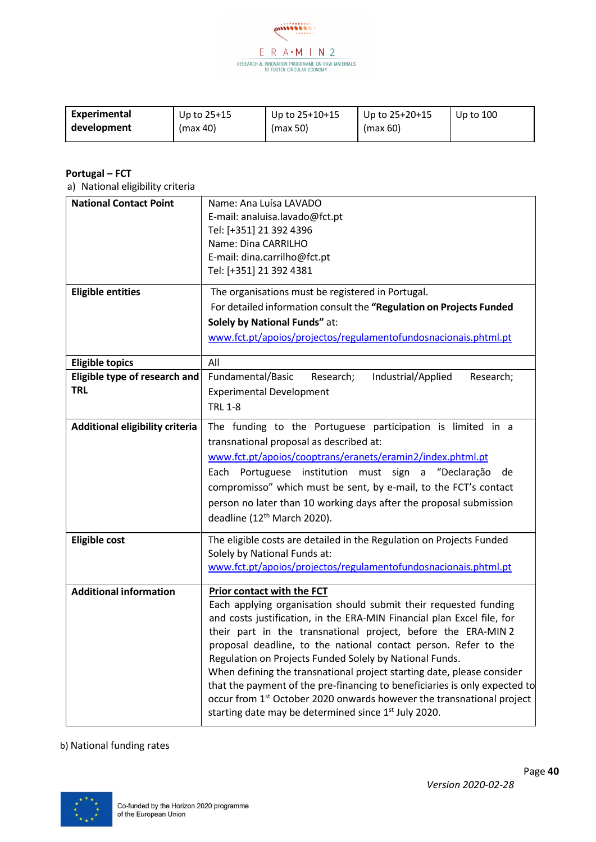

| Experimental | Up to $25+15$ | Up to $25+10+15$ | Up to $25+20+15$ | Up to $100$ |
|--------------|---------------|------------------|------------------|-------------|
| development  | (max 40)      | (max 50)         | (max 60)         |             |

#### **Portugal – FCT**

a) National eligibility criteria

| <b>National Contact Point</b><br><b>Eligible entities</b>             | Name: Ana Luísa LAVADO<br>E-mail: analuisa.lavado@fct.pt<br>Tel: [+351] 21 392 4396<br>Name: Dina CARRILHO<br>E-mail: dina.carrilho@fct.pt<br>Tel: [+351] 21 392 4381<br>The organisations must be registered in Portugal.<br>For detailed information consult the "Regulation on Projects Funded<br>Solely by National Funds" at:                                                                                                                                                                                                                                                                                                                                                       |
|-----------------------------------------------------------------------|------------------------------------------------------------------------------------------------------------------------------------------------------------------------------------------------------------------------------------------------------------------------------------------------------------------------------------------------------------------------------------------------------------------------------------------------------------------------------------------------------------------------------------------------------------------------------------------------------------------------------------------------------------------------------------------|
|                                                                       | www.fct.pt/apoios/projectos/regulamentofundosnacionais.phtml.pt                                                                                                                                                                                                                                                                                                                                                                                                                                                                                                                                                                                                                          |
| <b>Eligible topics</b><br>Eligible type of research and<br><b>TRL</b> | All<br>Fundamental/Basic<br>Research;<br>Industrial/Applied<br>Research;<br><b>Experimental Development</b><br><b>TRL 1-8</b>                                                                                                                                                                                                                                                                                                                                                                                                                                                                                                                                                            |
| Additional eligibility criteria                                       | The funding to the Portuguese participation is limited in a<br>transnational proposal as described at:<br>www.fct.pt/apoios/cooptrans/eranets/eramin2/index.phtml.pt<br>Portuguese institution must sign a "Declaração<br>Each<br>de<br>compromisso" which must be sent, by e-mail, to the FCT's contact<br>person no later than 10 working days after the proposal submission<br>deadline (12 <sup>th</sup> March 2020).                                                                                                                                                                                                                                                                |
| <b>Eligible cost</b>                                                  | The eligible costs are detailed in the Regulation on Projects Funded<br>Solely by National Funds at:<br>www.fct.pt/apoios/projectos/regulamentofundosnacionais.phtml.pt                                                                                                                                                                                                                                                                                                                                                                                                                                                                                                                  |
| <b>Additional information</b>                                         | Prior contact with the FCT<br>Each applying organisation should submit their requested funding<br>and costs justification, in the ERA-MIN Financial plan Excel file, for<br>their part in the transnational project, before the ERA-MIN 2<br>proposal deadline, to the national contact person. Refer to the<br>Regulation on Projects Funded Solely by National Funds.<br>When defining the transnational project starting date, please consider<br>that the payment of the pre-financing to beneficiaries is only expected to<br>occur from 1 <sup>st</sup> October 2020 onwards however the transnational project<br>starting date may be determined since 1 <sup>st</sup> July 2020. |

#### b) National funding rates

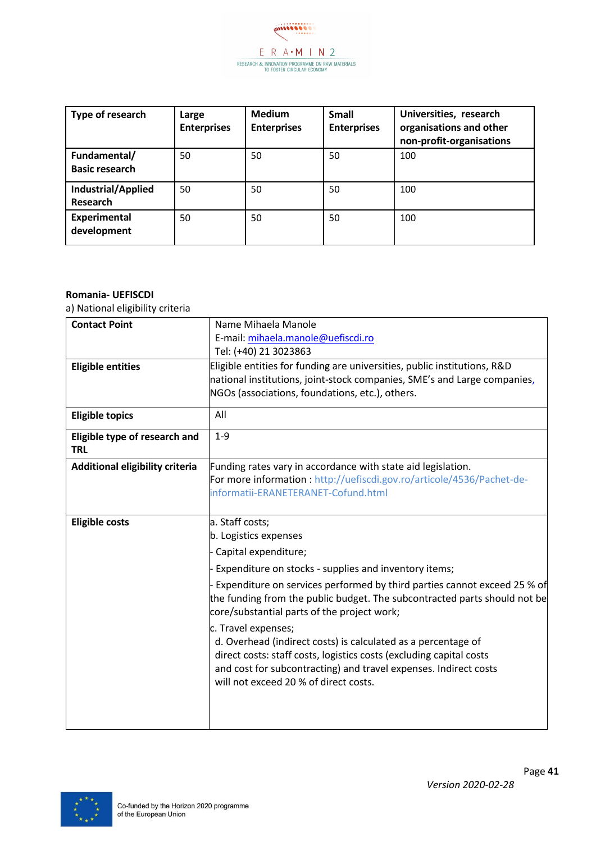

| Type of research                      | Large<br><b>Enterprises</b> | <b>Medium</b><br><b>Enterprises</b> | <b>Small</b><br><b>Enterprises</b> | Universities, research<br>organisations and other<br>non-profit-organisations |
|---------------------------------------|-----------------------------|-------------------------------------|------------------------------------|-------------------------------------------------------------------------------|
| Fundamental/<br><b>Basic research</b> | 50                          | 50                                  | 50                                 | 100                                                                           |
| <b>Industrial/Applied</b><br>Research | 50                          | 50                                  | 50                                 | 100                                                                           |
| Experimental<br>development           | 50                          | 50                                  | 50                                 | 100                                                                           |

#### **Romania- UEFISCDI**

| <b>Contact Point</b>                        | Name Mihaela Manole                                                                                                                                                                                    |  |
|---------------------------------------------|--------------------------------------------------------------------------------------------------------------------------------------------------------------------------------------------------------|--|
|                                             | E-mail: mihaela.manole@uefiscdi.ro                                                                                                                                                                     |  |
|                                             | Tel: (+40) 21 3023863                                                                                                                                                                                  |  |
| <b>Eligible entities</b>                    | Eligible entities for funding are universities, public institutions, R&D                                                                                                                               |  |
|                                             | national institutions, joint-stock companies, SME's and Large companies,                                                                                                                               |  |
|                                             | NGOs (associations, foundations, etc.), others.                                                                                                                                                        |  |
| <b>Eligible topics</b>                      | All                                                                                                                                                                                                    |  |
|                                             |                                                                                                                                                                                                        |  |
| Eligible type of research and<br><b>TRL</b> | $1 - 9$                                                                                                                                                                                                |  |
| Additional eligibility criteria             | Funding rates vary in accordance with state aid legislation.                                                                                                                                           |  |
|                                             | For more information : http://uefiscdi.gov.ro/articole/4536/Pachet-de-                                                                                                                                 |  |
|                                             | informatii-ERANETERANET-Cofund.html                                                                                                                                                                    |  |
|                                             |                                                                                                                                                                                                        |  |
| <b>Eligible costs</b>                       | a. Staff costs;                                                                                                                                                                                        |  |
|                                             | b. Logistics expenses                                                                                                                                                                                  |  |
|                                             | - Capital expenditure;                                                                                                                                                                                 |  |
|                                             | - Expenditure on stocks - supplies and inventory items;                                                                                                                                                |  |
|                                             | - Expenditure on services performed by third parties cannot exceed 25 % of<br>the funding from the public budget. The subcontracted parts should not be<br>core/substantial parts of the project work; |  |
|                                             |                                                                                                                                                                                                        |  |
|                                             | c. Travel expenses;                                                                                                                                                                                    |  |
|                                             | d. Overhead (indirect costs) is calculated as a percentage of                                                                                                                                          |  |
|                                             | direct costs: staff costs, logistics costs (excluding capital costs<br>and cost for subcontracting) and travel expenses. Indirect costs                                                                |  |
|                                             | will not exceed 20 % of direct costs.                                                                                                                                                                  |  |
|                                             |                                                                                                                                                                                                        |  |
|                                             |                                                                                                                                                                                                        |  |
|                                             |                                                                                                                                                                                                        |  |
|                                             |                                                                                                                                                                                                        |  |

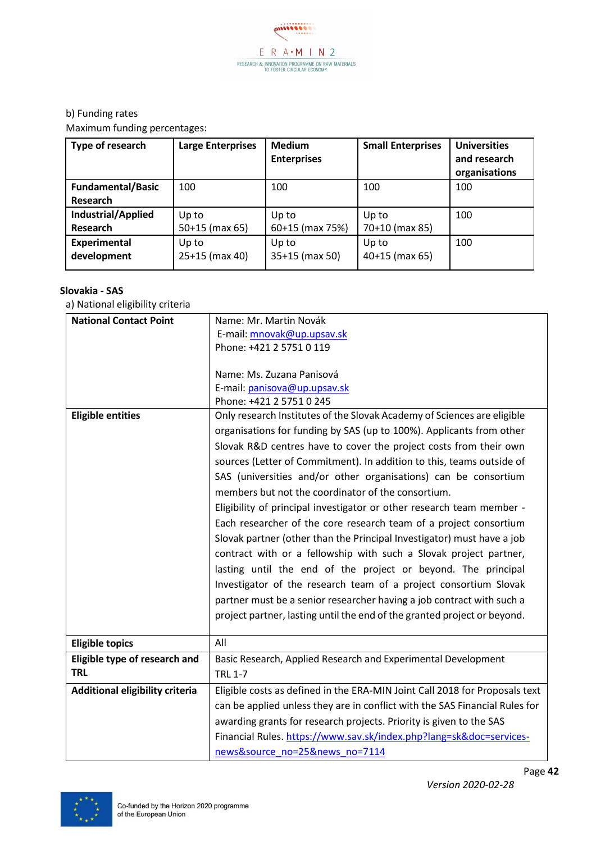

Maximum funding percentages:

| Type of research         | <b>Large Enterprises</b> | <b>Medium</b><br><b>Enterprises</b> | <b>Small Enterprises</b> | <b>Universities</b><br>and research<br>organisations |
|--------------------------|--------------------------|-------------------------------------|--------------------------|------------------------------------------------------|
| <b>Fundamental/Basic</b> | 100                      | 100                                 | 100                      | 100                                                  |
| Research                 |                          |                                     |                          |                                                      |
| Industrial/Applied       | Up to                    | Up to                               | Up to                    | 100                                                  |
| Research                 | $50+15$ (max 65)         | 60+15 (max 75%)                     | 70+10 (max 85)           |                                                      |
| <b>Experimental</b>      | Up to                    | Up to                               | Up to                    | 100                                                  |
| development              | 25+15 (max 40)           | 35+15 (max 50)                      | $40+15$ (max 65)         |                                                      |

#### **Slovakia - SAS**

| <b>National Contact Point</b>   | Name: Mr. Martin Novák                                                      |  |  |  |
|---------------------------------|-----------------------------------------------------------------------------|--|--|--|
|                                 | E-mail: mnovak@up.upsav.sk                                                  |  |  |  |
|                                 | Phone: +421 2 5751 0 119                                                    |  |  |  |
|                                 |                                                                             |  |  |  |
|                                 | Name: Ms. Zuzana Panisová                                                   |  |  |  |
|                                 | E-mail: panisova@up.upsav.sk                                                |  |  |  |
|                                 | Phone: +421 2 5751 0 245                                                    |  |  |  |
| <b>Eligible entities</b>        | Only research Institutes of the Slovak Academy of Sciences are eligible     |  |  |  |
|                                 | organisations for funding by SAS (up to 100%). Applicants from other        |  |  |  |
|                                 | Slovak R&D centres have to cover the project costs from their own           |  |  |  |
|                                 | sources (Letter of Commitment). In addition to this, teams outside of       |  |  |  |
|                                 | SAS (universities and/or other organisations) can be consortium             |  |  |  |
|                                 | members but not the coordinator of the consortium.                          |  |  |  |
|                                 | Eligibility of principal investigator or other research team member -       |  |  |  |
|                                 | Each researcher of the core research team of a project consortium           |  |  |  |
|                                 | Slovak partner (other than the Principal Investigator) must have a job      |  |  |  |
|                                 | contract with or a fellowship with such a Slovak project partner,           |  |  |  |
|                                 |                                                                             |  |  |  |
|                                 | lasting until the end of the project or beyond. The principal               |  |  |  |
|                                 | Investigator of the research team of a project consortium Slovak            |  |  |  |
|                                 | partner must be a senior researcher having a job contract with such a       |  |  |  |
|                                 | project partner, lasting until the end of the granted project or beyond.    |  |  |  |
|                                 |                                                                             |  |  |  |
| <b>Eligible topics</b>          | All                                                                         |  |  |  |
| Eligible type of research and   | Basic Research, Applied Research and Experimental Development               |  |  |  |
| <b>TRL</b>                      | <b>TRL 1-7</b>                                                              |  |  |  |
| Additional eligibility criteria | Eligible costs as defined in the ERA-MIN Joint Call 2018 for Proposals text |  |  |  |
|                                 | can be applied unless they are in conflict with the SAS Financial Rules for |  |  |  |
|                                 | awarding grants for research projects. Priority is given to the SAS         |  |  |  |
|                                 | Financial Rules. https://www.sav.sk/index.php?lang=sk&doc=services-         |  |  |  |
|                                 |                                                                             |  |  |  |
|                                 | news&source no=25&news no=7114                                              |  |  |  |

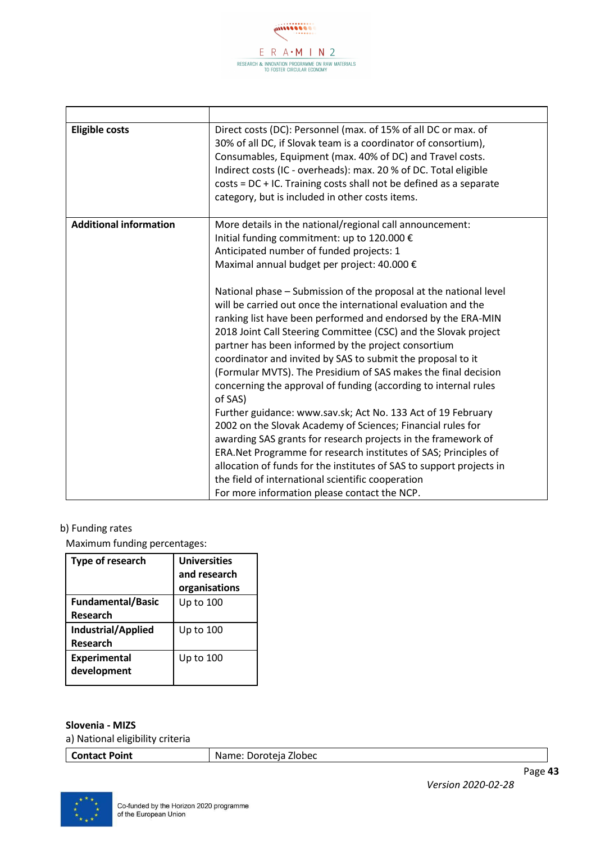

| <b>Eligible costs</b>         | Direct costs (DC): Personnel (max. of 15% of all DC or max. of<br>30% of all DC, if Slovak team is a coordinator of consortium),<br>Consumables, Equipment (max. 40% of DC) and Travel costs. |  |
|-------------------------------|-----------------------------------------------------------------------------------------------------------------------------------------------------------------------------------------------|--|
|                               | Indirect costs (IC - overheads): max. 20 % of DC. Total eligible                                                                                                                              |  |
|                               | $costs = DC + IC$ . Training costs shall not be defined as a separate                                                                                                                         |  |
|                               | category, but is included in other costs items.                                                                                                                                               |  |
|                               |                                                                                                                                                                                               |  |
| <b>Additional information</b> | More details in the national/regional call announcement:                                                                                                                                      |  |
|                               | Initial funding commitment: up to 120.000 €                                                                                                                                                   |  |
|                               | Anticipated number of funded projects: 1                                                                                                                                                      |  |
|                               | Maximal annual budget per project: 40.000 €                                                                                                                                                   |  |
|                               |                                                                                                                                                                                               |  |
|                               | National phase - Submission of the proposal at the national level                                                                                                                             |  |
|                               | will be carried out once the international evaluation and the                                                                                                                                 |  |
|                               | ranking list have been performed and endorsed by the ERA-MIN                                                                                                                                  |  |
|                               | 2018 Joint Call Steering Committee (CSC) and the Slovak project                                                                                                                               |  |
|                               | partner has been informed by the project consortium                                                                                                                                           |  |
|                               | coordinator and invited by SAS to submit the proposal to it                                                                                                                                   |  |
|                               | (Formular MVTS). The Presidium of SAS makes the final decision                                                                                                                                |  |
|                               | concerning the approval of funding (according to internal rules                                                                                                                               |  |
|                               | of SAS)                                                                                                                                                                                       |  |
|                               | Further guidance: www.sav.sk; Act No. 133 Act of 19 February                                                                                                                                  |  |
|                               | 2002 on the Slovak Academy of Sciences; Financial rules for                                                                                                                                   |  |
|                               | awarding SAS grants for research projects in the framework of                                                                                                                                 |  |
|                               | ERA.Net Programme for research institutes of SAS; Principles of                                                                                                                               |  |
|                               | allocation of funds for the institutes of SAS to support projects in                                                                                                                          |  |
|                               | the field of international scientific cooperation                                                                                                                                             |  |
|                               | For more information please contact the NCP.                                                                                                                                                  |  |

Maximum funding percentages:

| Type of research                      | <b>Universities</b><br>and research<br>organisations |
|---------------------------------------|------------------------------------------------------|
| <b>Fundamental/Basic</b><br>Research  | Up to 100                                            |
| Industrial/Applied<br><b>Research</b> | Up to 100                                            |
| <b>Experimental</b><br>development    | Up to 100                                            |

#### **Slovenia - MIZS**

a) National eligibility criteria

**Contact Point** Name: Doroteja Zlobec

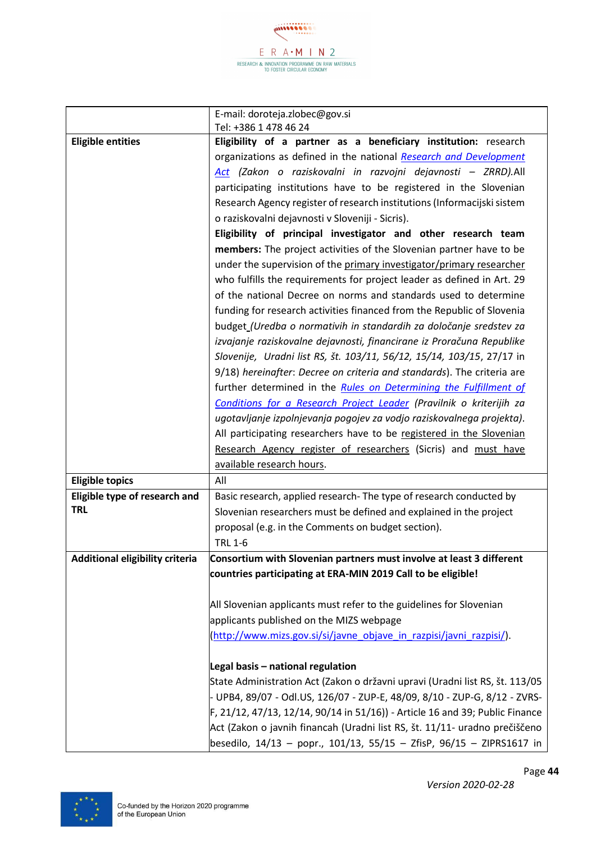accession  $E$  R A  $\cdot$  M I N 2 RESEARCH & INNOVATION PROGRAMME ON RAW MATERIALS<br>TO FOSTER CIRCULAR ECONOMY

|                                 | E-mail: doroteja.zlobec@gov.si                                                |  |  |
|---------------------------------|-------------------------------------------------------------------------------|--|--|
|                                 | Tel: +386 1 478 46 24                                                         |  |  |
| <b>Eligible entities</b>        | Eligibility of a partner as a beneficiary institution: research               |  |  |
|                                 | organizations as defined in the national Research and Development             |  |  |
|                                 | Act (Zakon o raziskovalni in razvojni dejavnosti - ZRRD). All                 |  |  |
|                                 | participating institutions have to be registered in the Slovenian             |  |  |
|                                 | Research Agency register of research institutions (Informacijski sistem       |  |  |
|                                 | o raziskovalni dejavnosti v Sloveniji - Sicris).                              |  |  |
|                                 | Eligibility of principal investigator and other research team                 |  |  |
|                                 | members: The project activities of the Slovenian partner have to be           |  |  |
|                                 | under the supervision of the primary investigator/primary researcher          |  |  |
|                                 | who fulfills the requirements for project leader as defined in Art. 29        |  |  |
|                                 | of the national Decree on norms and standards used to determine               |  |  |
|                                 | funding for research activities financed from the Republic of Slovenia        |  |  |
|                                 | budget_(Uredba o normativih in standardih za določanje sredstev za            |  |  |
|                                 | izvajanje raziskovalne dejavnosti, financirane iz Proračuna Republike         |  |  |
|                                 | Slovenije, Uradni list RS, št. 103/11, 56/12, 15/14, 103/15, 27/17 in         |  |  |
|                                 | 9/18) hereinafter: Decree on criteria and standards). The criteria are        |  |  |
|                                 | further determined in the Rules on Determining the Fulfillment of             |  |  |
|                                 | Conditions for a Research Project Leader (Pravilnik o kriterijih za           |  |  |
|                                 | ugotavljanje izpolnjevanja pogojev za vodjo raziskovalnega projekta).         |  |  |
|                                 | All participating researchers have to be registered in the Slovenian          |  |  |
|                                 | Research Agency register of researchers (Sicris) and must have                |  |  |
|                                 | available research hours.                                                     |  |  |
| <b>Eligible topics</b>          | All                                                                           |  |  |
| Eligible type of research and   | Basic research, applied research- The type of research conducted by           |  |  |
| <b>TRL</b>                      | Slovenian researchers must be defined and explained in the project            |  |  |
|                                 | proposal (e.g. in the Comments on budget section).                            |  |  |
|                                 | <b>TRL 1-6</b>                                                                |  |  |
| Additional eligibility criteria | Consortium with Slovenian partners must involve at least 3 different          |  |  |
|                                 | countries participating at ERA-MIN 2019 Call to be eligible!                  |  |  |
|                                 |                                                                               |  |  |
|                                 | All Slovenian applicants must refer to the guidelines for Slovenian           |  |  |
|                                 | applicants published on the MIZS webpage                                      |  |  |
|                                 | (http://www.mizs.gov.si/si/javne objave in razpisi/javni razpisi/).           |  |  |
|                                 |                                                                               |  |  |
|                                 | Legal basis - national regulation                                             |  |  |
|                                 | State Administration Act (Zakon o državni upravi (Uradni list RS, št. 113/05  |  |  |
|                                 | - UPB4, 89/07 - Odl.US, 126/07 - ZUP-E, 48/09, 8/10 - ZUP-G, 8/12 - ZVRS-     |  |  |
|                                 | F, 21/12, 47/13, 12/14, 90/14 in 51/16)) - Article 16 and 39; Public Finance  |  |  |
|                                 | Act (Zakon o javnih financah (Uradni list RS, št. 11/11- uradno prečiščeno    |  |  |
|                                 | besedilo, $14/13$ – popr., $101/13$ , $55/15$ – ZfisP, $96/15$ – ZIPRS1617 in |  |  |

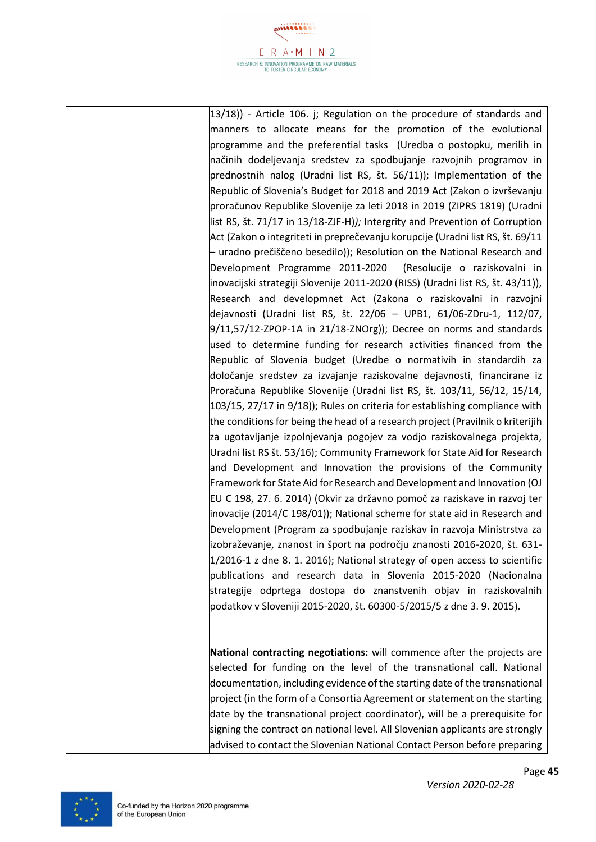

13/18)) - Article 106. j; Regulation on the procedure of standards and manners to allocate means for the promotion of the evolutional programme and the preferential tasks (Uredba o postopku, merilih in načinih dodeljevanja sredstev za spodbujanje razvojnih programov in prednostnih nalog (Uradni list RS, št. 56/11)); Implementation of the Republic of Slovenia's Budget for 2018 and 2019 Act (Zakon o izvrševanju proračunov Republike Slovenije za leti 2018 in 2019 (ZIPRS 1819) (Uradni list RS, št. 71/17 in 13/18-ZJF-H)*);* Intergrity and Prevention of Corruption Act (Zakon o integriteti in preprečevanju korupcije (Uradni list RS, št. 69/11 – uradno prečiščeno besedilo)); Resolution on the National Research and Development Programme 2011-2020 (Resolucije o raziskovalni in inovacijski strategiji Slovenije 2011-2020 (RISS) (Uradni list RS, št. 43/11)), Research and developmnet Act (Zakona o raziskovalni in razvojni dejavnosti (Uradni list RS, št. 22/06 – UPB1, 61/06-ZDru-1, 112/07,  $9/11,57/12$ -ZPOP-1A in 21/18-ZNOrg)); Decree on norms and standards used to determine funding for research activities financed from the Republic of Slovenia budget (Uredbe o normativih in standardih za določanje sredstev za izvajanje raziskovalne dejavnosti, financirane iz Proračuna Republike Slovenije (Uradni list RS, št. 103/11, 56/12, 15/14, 103/15, 27/17 in 9/18)); Rules on criteria for establishing compliance with the conditions for being the head of a research project (Pravilnik o kriterijih za ugotavljanje izpolnjevanja pogojev za vodjo raziskovalnega projekta, Uradni list RS št. 53/16); Community Framework for State Aid for Research and Development and Innovation the provisions of the Community Framework for State Aid for Research and Development and Innovation (OJ EU C 198, 27. 6. 2014) (Okvir za državno pomoč za raziskave in razvoj ter inovacije (2014/C 198/01)); National scheme for state aid in Research and Development (Program za spodbujanje raziskav in razvoja Ministrstva za izobraževanje, znanost in šport na področju znanosti 2016-2020, št. 631- 1/2016-1 z dne 8. 1. 2016); National strategy of open access to scientific publications and research data in Slovenia 2015-2020 (Nacionalna strategije odprtega dostopa do znanstvenih objav in raziskovalnih podatkov v Sloveniji 2015-2020, št. 60300-5/2015/5 z dne 3. 9. 2015).

**National contracting negotiations:** will commence after the projects are selected for funding on the level of the transnational call. National documentation, including evidence of the starting date of the transnational project (in the form of a Consortia Agreement or statement on the starting date by the transnational project coordinator), will be a prerequisite for signing the contract on national level. All Slovenian applicants are strongly advised to contact the Slovenian National Contact Person before preparing



*Version 2020-02-28*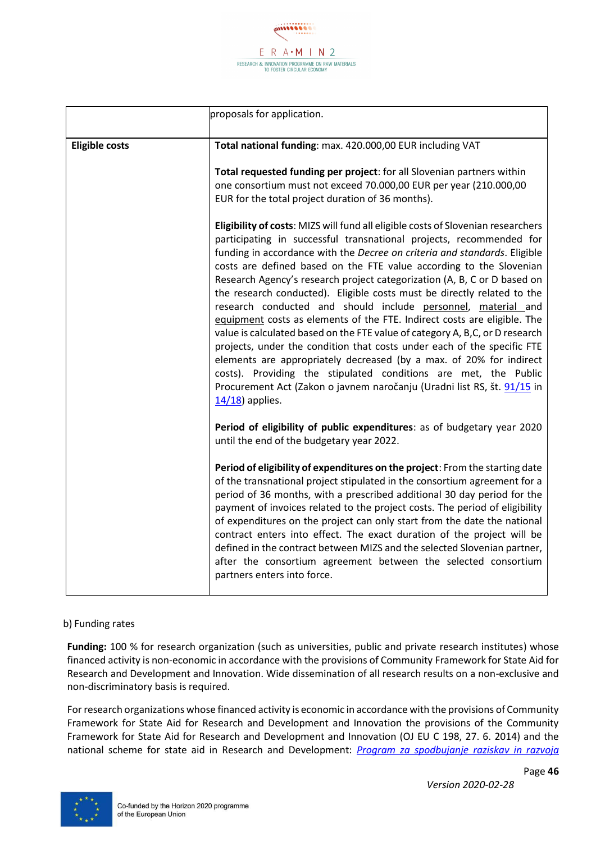

|                       | proposals for application.                                                                                                                                                                                                                                                                                                                                                                                                                                                                                                                                                                                                                                                                                                                                                                                                                                                                                                                                                                                            |  |  |  |
|-----------------------|-----------------------------------------------------------------------------------------------------------------------------------------------------------------------------------------------------------------------------------------------------------------------------------------------------------------------------------------------------------------------------------------------------------------------------------------------------------------------------------------------------------------------------------------------------------------------------------------------------------------------------------------------------------------------------------------------------------------------------------------------------------------------------------------------------------------------------------------------------------------------------------------------------------------------------------------------------------------------------------------------------------------------|--|--|--|
| <b>Eligible costs</b> | Total national funding: max. 420.000,00 EUR including VAT                                                                                                                                                                                                                                                                                                                                                                                                                                                                                                                                                                                                                                                                                                                                                                                                                                                                                                                                                             |  |  |  |
|                       | Total requested funding per project: for all Slovenian partners within<br>one consortium must not exceed 70.000,00 EUR per year (210.000,00<br>EUR for the total project duration of 36 months).                                                                                                                                                                                                                                                                                                                                                                                                                                                                                                                                                                                                                                                                                                                                                                                                                      |  |  |  |
|                       | Eligibility of costs: MIZS will fund all eligible costs of Slovenian researchers<br>participating in successful transnational projects, recommended for<br>funding in accordance with the Decree on criteria and standards. Eligible<br>costs are defined based on the FTE value according to the Slovenian<br>Research Agency's research project categorization (A, B, C or D based on<br>the research conducted). Eligible costs must be directly related to the<br>research conducted and should include personnel, material and<br>equipment costs as elements of the FTE. Indirect costs are eligible. The<br>value is calculated based on the FTE value of category A, B,C, or D research<br>projects, under the condition that costs under each of the specific FTE<br>elements are appropriately decreased (by a max. of 20% for indirect<br>costs). Providing the stipulated conditions are met, the Public<br>Procurement Act (Zakon o javnem naročanju (Uradni list RS, št. 91/15 in<br>$14/18$ ) applies. |  |  |  |
|                       | Period of eligibility of public expenditures: as of budgetary year 2020<br>until the end of the budgetary year 2022.                                                                                                                                                                                                                                                                                                                                                                                                                                                                                                                                                                                                                                                                                                                                                                                                                                                                                                  |  |  |  |
|                       | Period of eligibility of expenditures on the project: From the starting date<br>of the transnational project stipulated in the consortium agreement for a<br>period of 36 months, with a prescribed additional 30 day period for the<br>payment of invoices related to the project costs. The period of eligibility<br>of expenditures on the project can only start from the date the national<br>contract enters into effect. The exact duration of the project will be<br>defined in the contract between MIZS and the selected Slovenian partner,<br>after the consortium agreement between the selected consortium<br>partners enters into force.                                                                                                                                                                                                                                                                                                                                                                |  |  |  |

**Funding:** 100 % for research organization (such as universities, public and private research institutes) whose financed activity is non-economic in accordance with the provisions of Community Framework for State Aid for Research and Development and Innovation. Wide dissemination of all research results on a non-exclusive and non-discriminatory basis is required.

For research organizations whose financed activity is economic in accordance with the provisions of Community Framework for State Aid for Research and Development and Innovation the provisions of the Community Framework for State Aid for Research and Development and Innovation (OJ EU C 198, 27. 6. 2014) and the national scheme for state aid in Research and Development: *[Program za spodbujanje raziskav in razvoja](http://www.mizs.gov.si/fileadmin/mizs.gov.si/pageuploads/Znanost/doc/Strategije/Program_za_spodbujanje_raziskav_in_razvoja_Urejena_koncna_verzija_Final_21.1.2016.pdf)* 

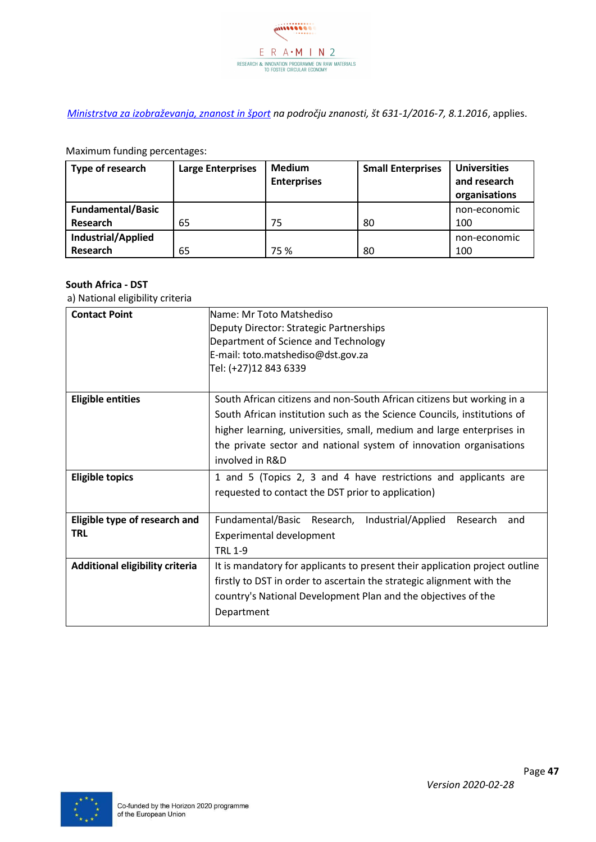

*[Ministrstva za izobraževanja, znanost in šport](http://www.mizs.gov.si/fileadmin/mizs.gov.si/pageuploads/Znanost/doc/Strategije/Program_za_spodbujanje_raziskav_in_razvoja_Urejena_koncna_verzija_Final_21.1.2016.pdf) na področju znanosti, št 631-1/2016-7, 8.1.2016*, applies.

Maximum funding percentages:

| Type of research         | <b>Large Enterprises</b> | <b>Medium</b><br><b>Enterprises</b> | <b>Small Enterprises</b> | <b>Universities</b><br>and research<br>organisations |
|--------------------------|--------------------------|-------------------------------------|--------------------------|------------------------------------------------------|
| <b>Fundamental/Basic</b> |                          |                                     |                          | non-economic                                         |
| Research                 | 65                       | 75                                  | 80                       | 100                                                  |
| Industrial/Applied       |                          |                                     |                          | non-economic                                         |
| Research                 | 65                       | 75 %                                | 80                       | 100                                                  |

#### **South Africa - DST**

| <b>Contact Point</b>            | Name: Mr Toto Matshediso                                                    |  |  |  |  |
|---------------------------------|-----------------------------------------------------------------------------|--|--|--|--|
|                                 | Deputy Director: Strategic Partnerships                                     |  |  |  |  |
|                                 | Department of Science and Technology                                        |  |  |  |  |
|                                 | E-mail: toto.matshediso@dst.gov.za                                          |  |  |  |  |
|                                 | Tel: (+27)12 843 6339                                                       |  |  |  |  |
|                                 |                                                                             |  |  |  |  |
| <b>Eligible entities</b>        | South African citizens and non-South African citizens but working in a      |  |  |  |  |
|                                 | South African institution such as the Science Councils, institutions of     |  |  |  |  |
|                                 | higher learning, universities, small, medium and large enterprises in       |  |  |  |  |
|                                 | the private sector and national system of innovation organisations          |  |  |  |  |
|                                 | involved in R&D                                                             |  |  |  |  |
| <b>Eligible topics</b>          | 1 and 5 (Topics 2, 3 and 4 have restrictions and applicants are             |  |  |  |  |
|                                 | requested to contact the DST prior to application)                          |  |  |  |  |
|                                 |                                                                             |  |  |  |  |
| Eligible type of research and   | Fundamental/Basic Research, Industrial/Applied<br>Research<br>and           |  |  |  |  |
| <b>TRL</b>                      | Experimental development                                                    |  |  |  |  |
|                                 | <b>TRL 1-9</b>                                                              |  |  |  |  |
| Additional eligibility criteria | It is mandatory for applicants to present their application project outline |  |  |  |  |
|                                 | firstly to DST in order to ascertain the strategic alignment with the       |  |  |  |  |
|                                 | country's National Development Plan and the objectives of the               |  |  |  |  |
|                                 | Department                                                                  |  |  |  |  |
|                                 |                                                                             |  |  |  |  |

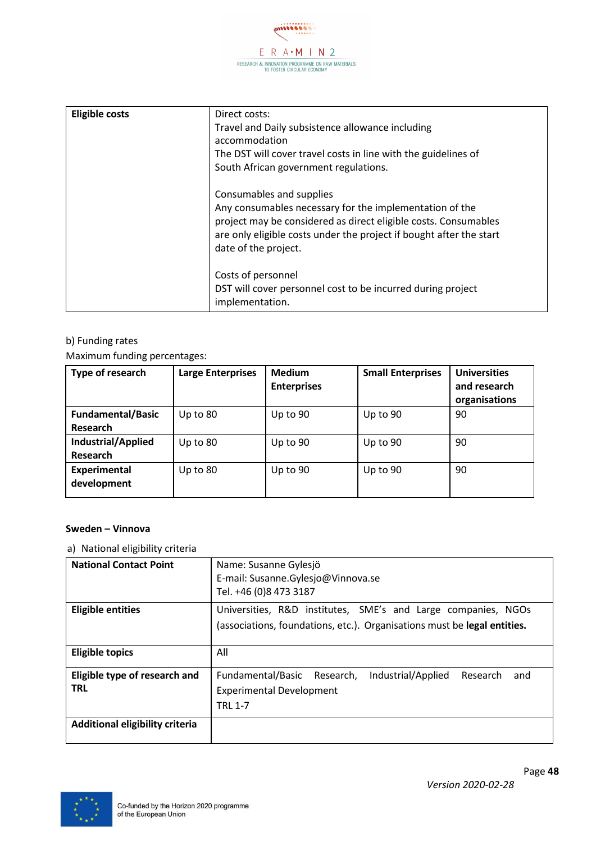

| <b>Eligible costs</b> | Direct costs:<br>Travel and Daily subsistence allowance including<br>accommodation<br>The DST will cover travel costs in line with the guidelines of<br>South African government regulations.                                                         |
|-----------------------|-------------------------------------------------------------------------------------------------------------------------------------------------------------------------------------------------------------------------------------------------------|
|                       | Consumables and supplies<br>Any consumables necessary for the implementation of the<br>project may be considered as direct eligible costs. Consumables<br>are only eligible costs under the project if bought after the start<br>date of the project. |
|                       | Costs of personnel<br>DST will cover personnel cost to be incurred during project<br>implementation.                                                                                                                                                  |

Maximum funding percentages:

| Type of research                     | <b>Large Enterprises</b> | <b>Medium</b><br><b>Enterprises</b> | <b>Small Enterprises</b> | <b>Universities</b><br>and research<br>organisations |
|--------------------------------------|--------------------------|-------------------------------------|--------------------------|------------------------------------------------------|
| <b>Fundamental/Basic</b><br>Research | Up to $80$               | Up to 90                            | Up to 90                 | 90                                                   |
| Industrial/Applied<br>Research       | Up to 80                 | Up to 90                            | Up to $90$               | 90                                                   |
| <b>Experimental</b><br>development   | Up to 80                 | Up to 90                            | Up to $90$               | 90                                                   |

#### **Sweden – Vinnova**

| <b>National Contact Point</b>               | Name: Susanne Gylesjö<br>E-mail: Susanne.Gylesjo@Vinnova.se<br>Tel. +46 (0)8 473 3187                                                     |
|---------------------------------------------|-------------------------------------------------------------------------------------------------------------------------------------------|
|                                             |                                                                                                                                           |
| <b>Eligible entities</b>                    | Universities, R&D institutes, SME's and Large companies, NGOs<br>(associations, foundations, etc.). Organisations must be legal entities. |
| <b>Eligible topics</b>                      | All                                                                                                                                       |
| Eligible type of research and<br><b>TRL</b> | Industrial/Applied<br>Fundamental/Basic<br>Research,<br>Research<br>and<br><b>Experimental Development</b><br><b>TRL 1-7</b>              |
| Additional eligibility criteria             |                                                                                                                                           |

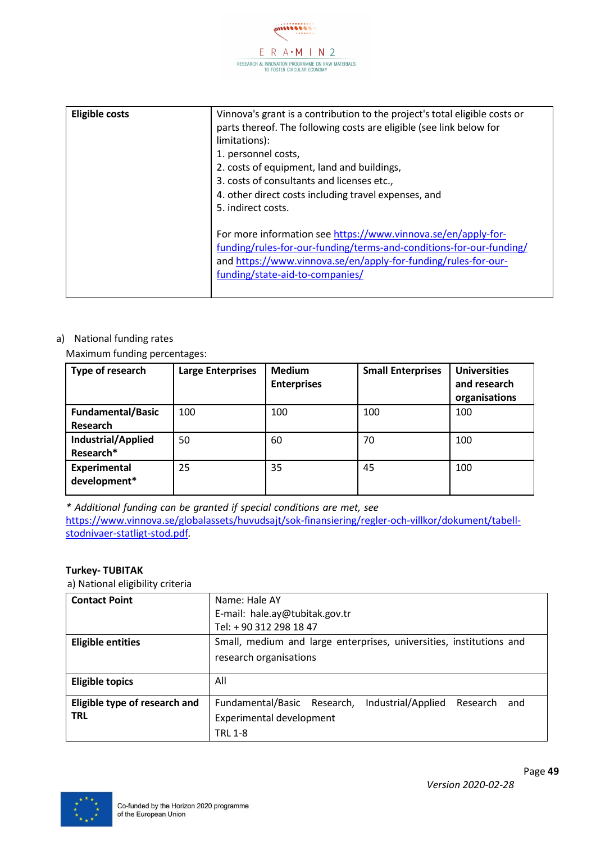

| <b>Eligible costs</b> | Vinnova's grant is a contribution to the project's total eligible costs or<br>parts thereof. The following costs are eligible (see link below for<br>limitations):<br>1. personnel costs,<br>2. costs of equipment, land and buildings,<br>3. costs of consultants and licenses etc.,<br>4. other direct costs including travel expenses, and<br>5. indirect costs. |
|-----------------------|---------------------------------------------------------------------------------------------------------------------------------------------------------------------------------------------------------------------------------------------------------------------------------------------------------------------------------------------------------------------|
|                       | For more information see https://www.vinnova.se/en/apply-for-<br>funding/rules-for-our-funding/terms-and-conditions-for-our-funding/<br>and https://www.vinnova.se/en/apply-for-funding/rules-for-our-<br>funding/state-aid-to-companies/                                                                                                                           |

#### a) National funding rates

Maximum funding percentages:

| Type of research                     | <b>Large Enterprises</b> | <b>Medium</b><br><b>Enterprises</b> | <b>Small Enterprises</b> | <b>Universities</b><br>and research<br>organisations |
|--------------------------------------|--------------------------|-------------------------------------|--------------------------|------------------------------------------------------|
| <b>Fundamental/Basic</b><br>Research | 100                      | 100                                 | 100                      | 100                                                  |
| Industrial/Applied<br>Research*      | 50                       | 60                                  | 70                       | 100                                                  |
| <b>Experimental</b><br>development*  | 25                       | 35                                  | 45                       | 100                                                  |

*\* Additional funding can be granted if special conditions are met, see*  [https://www.vinnova.se/globalassets/huvudsajt/sok-finansiering/regler-och-villkor/dokument/tabell](https://www.vinnova.se/globalassets/huvudsajt/sok-finansiering/regler-och-villkor/dokument/tabell-stodnivaer-statligt-stod.pdf)[stodnivaer-statligt-stod.pdf](https://www.vinnova.se/globalassets/huvudsajt/sok-finansiering/regler-och-villkor/dokument/tabell-stodnivaer-statligt-stod.pdf)*.*

#### **Turkey- TUBITAK**

| <b>Contact Point</b>          | Name: Hale AY                                                        |  |  |  |
|-------------------------------|----------------------------------------------------------------------|--|--|--|
|                               | E-mail: hale.ay@tubitak.gov.tr                                       |  |  |  |
|                               | Tel: + 90 312 298 18 47                                              |  |  |  |
|                               |                                                                      |  |  |  |
| <b>Eligible entities</b>      | Small, medium and large enterprises, universities, institutions and  |  |  |  |
|                               | research organisations                                               |  |  |  |
|                               |                                                                      |  |  |  |
| <b>Eligible topics</b>        | All                                                                  |  |  |  |
|                               |                                                                      |  |  |  |
| Eligible type of research and | Fundamental/Basic Research,<br>Industrial/Applied<br>Research<br>and |  |  |  |
| <b>TRL</b>                    | Experimental development                                             |  |  |  |
|                               | <b>TRL 1-8</b>                                                       |  |  |  |